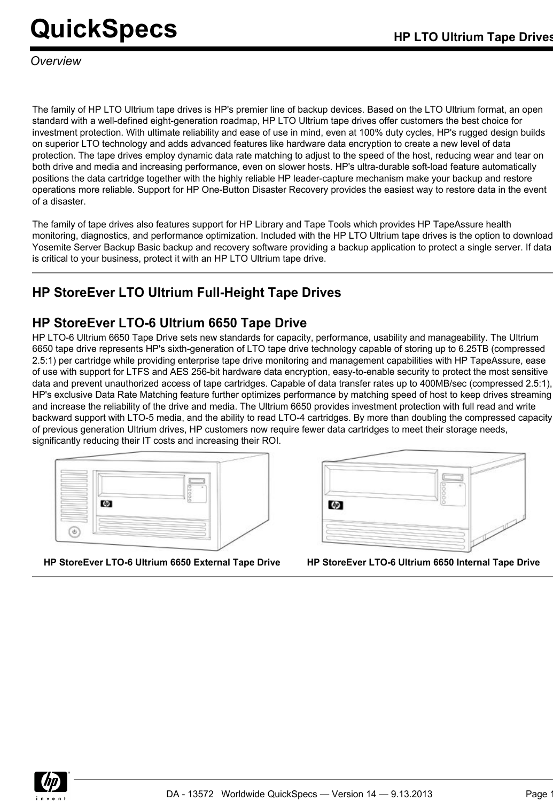*Overview*

The family of HP LTO Ultrium tape drives is HP's premier line of backup devices. Based on the LTO Ultrium format, an open standard with a well-defined eight-generation roadmap, HP LTO Ultrium tape drives offer customers the best choice for investment protection. With ultimate reliability and ease of use in mind, even at 100% duty cycles. HP's rugged design builds on superior LTO technology and adds advanced features like hardware data encryption to create a new level of data protection. The tape drives employ dynamic data rate matching to adjust to the speed of the host, reducing wear and tear on both drive and media and increasing performance, even on slower hosts. HP's ultra-durable soft-load feature automatically positions the data cartridge together with the highly reliable HP leader-capture mechanism make your backup and restore operations more reliable. Support for HP One-Button Disaster Recovery provides the easiest way to restore data in the event of a disaster.

The family of tape drives also features support for HP Library and Tape Tools which provides HP TapeAssure health monitoring, diagnostics, and performance optimization. Included with the HP LTO Ultrium tape drives is the option to download Yosemite Server Backup Basic backup and recovery software providing a backup application to protect a single server. If data is critical to your business, protect it with an HP LTO Ultrium tape drive.

## **HP StoreEver LTO Ultrium Full-Height Tape Drives**

## **HP StoreEver LTO-6 Ultrium 6650 Tape Drive**

HP LTO-6 Ultrium 6650 Tape Drive sets new standards for capacity, performance, usability and manageability. The Ultrium 6650 tape drive represents HP's sixth-generation of LTO tape drive technology capable of storing up to 6.25TB (compressed 2.5:1) per cartridge while providing enterprise tape drive monitoring and management capabilities with HP TapeAssure, ease of use with support for LTFS and AES 256-bit hardware data encryption, easy-to-enable security to protect the most sensitive data and prevent unauthorized access of tape cartridges. Capable of data transfer rates up to 400MB/sec (compressed 2.5:1), HP's exclusive Data Rate Matching feature further optimizes performance by matching speed of host to keep drives streaming and increase the reliability of the drive and media. The Ultrium 6650 provides investment protection with full read and write backward support with LTO-5 media, and the ability to read LTO-4 cartridges. By more than doubling the compressed capacity of previous generation Ultrium drives, HP customers now require fewer data cartridges to meet their storage needs, significantly reducing their IT costs and increasing their ROI.





**HP StoreEver LTO-6 Ultrium 6650 External Tape Drive HP StoreEver LTO-6 Ultrium 6650 Internal Tape Drive**

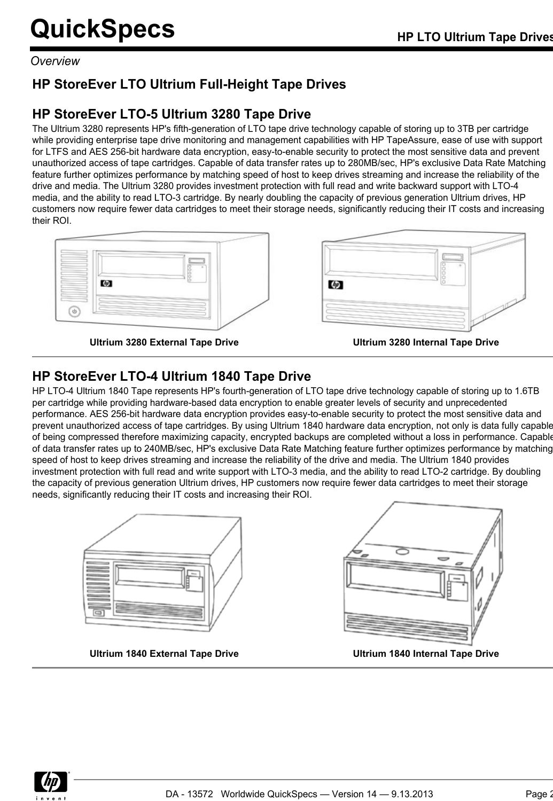*Overview*

## **HP StoreEver LTO Ultrium Full-Height Tape Drives**

## **HP StoreEver LTO-5 Ultrium 3280 Tape Drive**

The Ultrium 3280 represents HP's fifth-generation of LTO tape drive technology capable of storing up to 3TB per cartridge while providing enterprise tape drive monitoring and management capabilities with HP TapeAssure, ease of use with support for LTFS and AES 256-bit hardware data encryption, easy-to-enable security to protect the most sensitive data and prevent unauthorized access of tape cartridges. Capable of data transfer rates up to 280MB/sec, HP's exclusive Data Rate Matching feature further optimizes performance by matching speed of host to keep drives streaming and increase the reliability of the drive and media. The Ultrium 3280 provides investment protection with full read and write backward support with LTO-4 media, and the ability to read LTO-3 cartridge. By nearly doubling the capacity of previous generation Ultrium drives, HP customers now require fewer data cartridges to meet their storage needs, significantly reducing their IT costs and increasing their ROI.



⑩

**Ultrium 3280 External Tape Drive Ultrium 3280 Internal Tape Drive**



## **HP StoreEver LTO-4 Ultrium 1840 Tape Drive**

HP LTO-4 Ultrium 1840 Tape represents HP's fourth-generation of LTO tape drive technology capable of storing up to 1.6TB per cartridge while providing hardware-based data encryption to enable greater levels of security and unprecedented performance. AES 256-bit hardware data encryption provides easy-to-enable security to protect the most sensitive data and prevent unauthorized access of tape cartridges. By using Ultrium 1840 hardware data encryption, not only is data fully capable of being compressed therefore maximizing capacity, encrypted backups are completed without a loss in performance. Capable of data transfer rates up to 240MB/sec, HP's exclusive Data Rate Matching feature further optimizes performance by matching speed of host to keep drives streaming and increase the reliability of the drive and media. The Ultrium 1840 provides investment protection with full read and write support with LTO-3 media, and the ability to read LTO-2 cartridge. By doubling the capacity of previous generation Ultrium drives, HP customers now require fewer data cartridges to meet their storage needs, significantly reducing their IT costs and increasing their ROI.



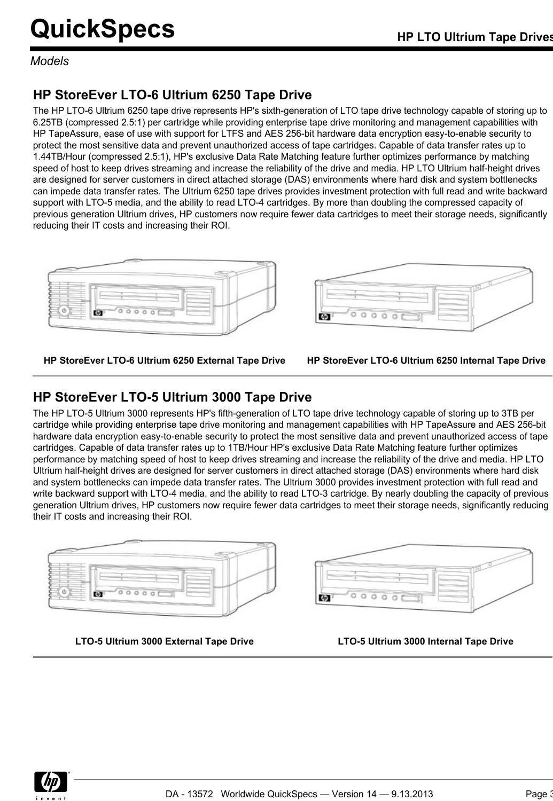*Models*

## **HP StoreEver LTO-6 Ultrium 6250 Tape Drive**

The HP LTO-6 Ultrium 6250 tape drive represents HP's sixth-generation of LTO tape drive technology capable of storing up to 6.25TB (compressed 2.5:1) per cartridge while providing enterprise tape drive monitoring and management capabilities with HP TapeAssure, ease of use with support for LTFS and AES 256-bit hardware data encryption easy-to-enable security to protect the most sensitive data and prevent unauthorized access of tape cartridges. Capable of data transfer rates up to 1.44TB/Hour (compressed 2.5:1), HP's exclusive Data Rate Matching feature further optimizes performance by matching speed of host to keep drives streaming and increase the reliability of the drive and media. HP LTO Ultrium half-height drives are designed for server customers in direct attached storage (DAS) environments where hard disk and system bottlenecks can impede data transfer rates. The Ultrium 6250 tape drives provides investment protection with full read and write backward support with LTO-5 media, and the ability to read LTO-4 cartridges. By more than doubling the compressed capacity of previous generation Ultrium drives, HP customers now require fewer data cartridges to meet their storage needs, significantly reducing their IT costs and increasing their ROI.



**HP StoreEver LTO-6 Ultrium 6250 External Tape Drive HP StoreEver LTO-6 Ultrium 6250 Internal Tape Drive**

### **HP StoreEver LTO-5 Ultrium 3000 Tape Drive**

The HP LTO-5 Ultrium 3000 represents HP's fifth-generation of LTO tape drive technology capable of storing up to 3TB per cartridge while providing enterprise tape drive monitoring and management capabilities with HP TapeAssure and AES 256-bit hardware data encryption easy-to-enable security to protect the most sensitive data and prevent unauthorized access of tape cartridges. Capable of data transfer rates up to 1TB/Hour HP's exclusive Data Rate Matching feature further optimizes performance by matching speed of host to keep drives streaming and increase the reliability of the drive and media. HP LTO Ultrium half-height drives are designed for server customers in direct attached storage (DAS) environments where hard disk and system bottlenecks can impede data transfer rates. The Ultrium 3000 provides investment protection with full read and write backward support with LTO-4 media, and the ability to read LTO-3 cartridge. By nearly doubling the capacity of previous generation Ultrium drives, HP customers now require fewer data cartridges to meet their storage needs, significantly reducing their IT costs and increasing their ROI.





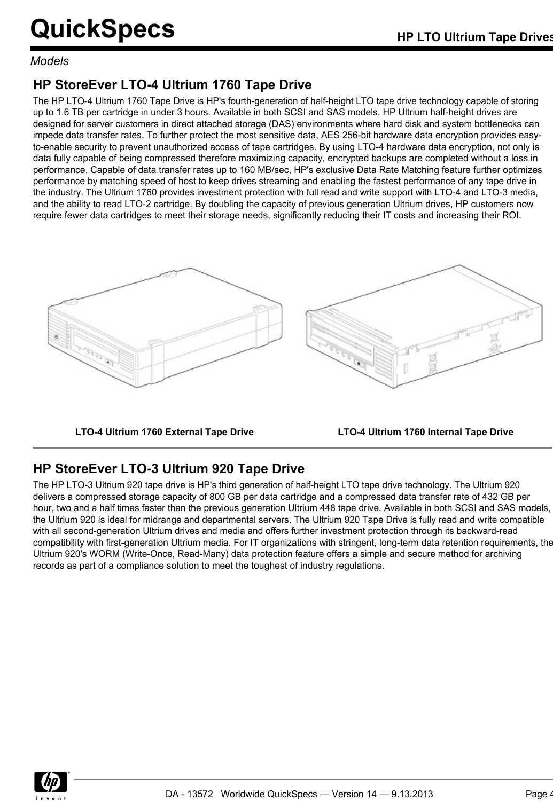### *Models*

## **HP StoreEver LTO-4 Ultrium 1760 Tape Drive**

The HP LTO-4 Ultrium 1760 Tape Drive is HP's fourth-generation of half-height LTO tape drive technology capable of storing up to 1.6 TB per cartridge in under 3 hours. Available in both SCSI and SAS models, HP Ultrium half-height drives are designed for server customers in direct attached storage (DAS) environments where hard disk and system bottlenecks can impede data transfer rates. To further protect the most sensitive data, AES 256-bit hardware data encryption provides easyto-enable security to prevent unauthorized access of tape cartridges. By using LTO-4 hardware data encryption, not only is data fully capable of being compressed therefore maximizing capacity, encrypted backups are completed without a loss in performance. Capable of data transfer rates up to 160 MB/sec, HP's exclusive Data Rate Matching feature further optimizes performance by matching speed of host to keep drives streaming and enabling the fastest performance of any tape drive in the industry. The Ultrium 1760 provides investment protection with full read and write support with LTO-4 and LTO-3 media, and the ability to read LTO-2 cartridge. By doubling the capacity of previous generation Ultrium drives, HP customers now require fewer data cartridges to meet their storage needs, significantly reducing their IT costs and increasing their ROI.



**LTO-4 Ultrium 1760 External Tape Drive LTO-4 Ultrium 1760 Internal Tape Drive**

## **HP StoreEver LTO-3 Ultrium 920 Tape Drive**

The HP LTO-3 Ultrium 920 tape drive is HP's third generation of half-height LTO tape drive technology. The Ultrium 920 delivers a compressed storage capacity of 800 GB per data cartridge and a compressed data transfer rate of 432 GB per hour, two and a half times faster than the previous generation Ultrium 448 tape drive. Available in both SCSI and SAS models, the Ultrium 920 is ideal for midrange and departmental servers. The Ultrium 920 Tape Drive is fully read and write compatible with all second-generation Ultrium drives and media and offers further investment protection through its backward-read compatibility with first-generation Ultrium media. For IT organizations with stringent, long-term data retention requirements, the Ultrium 920's WORM (Write-Once, Read-Many) data protection feature offers a simple and secure method for archiving records as part of a compliance solution to meet the toughest of industry regulations.

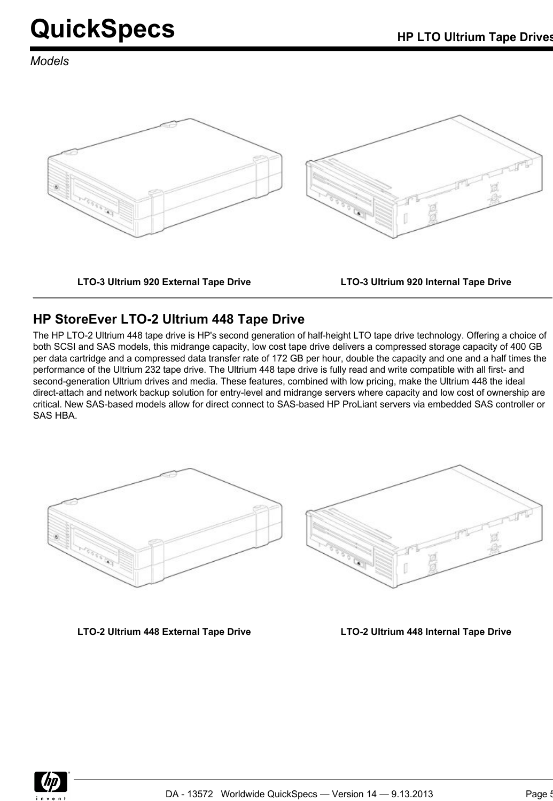*Models*



**LTO-3 Ultrium 920 External Tape Drive LTO-3 Ultrium 920 Internal Tape Drive**

## **HP StoreEver LTO-2 Ultrium 448 Tape Drive**

The HP LTO-2 Ultrium 448 tape drive is HP's second generation of half-height LTO tape drive technology. Offering a choice of both SCSI and SAS models, this midrange capacity, low cost tape drive delivers a compressed storage capacity of 400 GB per data cartridge and a compressed data transfer rate of 172 GB per hour, double the capacity and one and a half times the performance of the Ultrium 232 tape drive. The Ultrium 448 tape drive is fully read and write compatible with all first- and second-generation Ultrium drives and media. These features, combined with low pricing, make the Ultrium 448 the ideal direct-attach and network backup solution for entry-level and midrange servers where capacity and low cost of ownership are critical. New SAS-based models allow for direct connect to SAS-based HP ProLiant servers via embedded SAS controller or SAS HBA.





**LTO-2 Ultrium 448 External Tape Drive LTO-2 Ultrium 448 Internal Tape Drive**

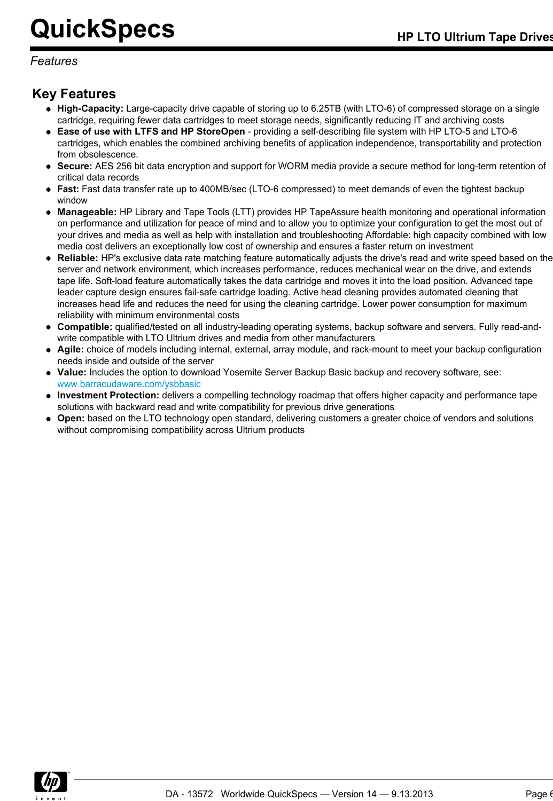### *Features*

## **Key Features**

- **High-Capacity:** Large-capacity drive capable of storing up to 6.25TB (with LTO-6) of compressed storage on a single cartridge, requiring fewer data cartridges to meet storage needs, significantly reducing IT and archiving costs
- **Ease of use with LTFS and HP StoreOpen** providing a self-describing file system with HP LTO-5 and LTO-6 cartridges, which enables the combined archiving benefits of application independence, transportability and protection from obsolescence.
- **Secure:** AES 256 bit data encryption and support for WORM media provide a secure method for long-term retention of critical data records
- **Fast:** Fast data transfer rate up to 400MB/sec (LTO-6 compressed) to meet demands of even the tightest backup window
- **Manageable:** HP Library and Tape Tools (LTT) provides HP TapeAssure health monitoring and operational information on performance and utilization for peace of mind and to allow you to optimize your configuration to get the most out of your drives and media as well as help with installation and troubleshooting Affordable: high capacity combined with low media cost delivers an exceptionally low cost of ownership and ensures a faster return on investment
- **Reliable:** HP's exclusive data rate matching feature automatically adjusts the drive's read and write speed based on the server and network environment, which increases performance, reduces mechanical wear on the drive, and extends tape life. Soft-load feature automatically takes the data cartridge and moves it into the load position. Advanced tape leader capture design ensures fail-safe cartridge loading. Active head cleaning provides automated cleaning that increases head life and reduces the need for using the cleaning cartridge. Lower power consumption for maximum reliability with minimum environmental costs
- **Compatible:** qualified/tested on all industry-leading operating systems, backup software and servers. Fully read-andwrite compatible with LTO Ultrium drives and media from other manufacturers
- **Agile:** choice of models including internal, external, array module, and rack-mount to meet your backup configuration needs inside and outside of the server
- **Value:** Includes the option to download Yosemite Server Backup Basic backup and recovery software, see: [www.barracudaware.com/ysbbasic](http:%5C%5Cwww.barracudaware.com/ysbbasic)
- **Investment Protection:** delivers a compelling technology roadmap that offers higher capacity and performance tape solutions with backward read and write compatibility for previous drive generations
- **Open:** based on the LTO technology open standard, delivering customers a greater choice of vendors and solutions without compromising compatibility across Ultrium products

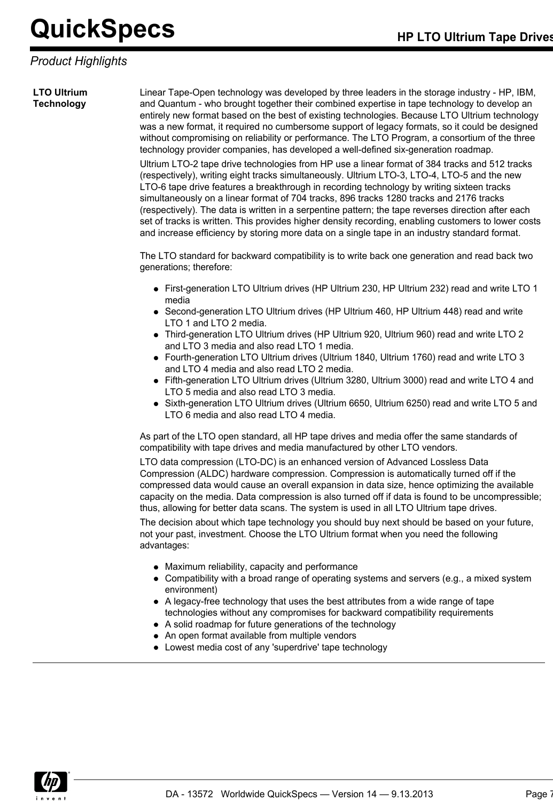## *Product Highlights*

**LTO Ultrium Technology**

Linear Tape-Open technology was developed by three leaders in the storage industry - HP, IBM, and Quantum - who brought together their combined expertise in tape technology to develop an entirely new format based on the best of existing technologies. Because LTO Ultrium technology was a new format, it required no cumbersome support of legacy formats, so it could be designed without compromising on reliability or performance. The LTO Program, a consortium of the three technology provider companies, has developed a well-defined six-generation roadmap.

Ultrium LTO-2 tape drive technologies from HP use a linear format of 384 tracks and 512 tracks (respectively), writing eight tracks simultaneously. Ultrium LTO-3, LTO-4, LTO-5 and the new LTO-6 tape drive features a breakthrough in recording technology by writing sixteen tracks simultaneously on a linear format of 704 tracks, 896 tracks 1280 tracks and 2176 tracks (respectively). The data is written in a serpentine pattern; the tape reverses direction after each set of tracks is written. This provides higher density recording, enabling customers to lower costs and increase efficiency by storing more data on a single tape in an industry standard format.

The LTO standard for backward compatibility is to write back one generation and read back two generations; therefore:

- First-generation LTO Ultrium drives (HP Ultrium 230, HP Ultrium 232) read and write LTO 1 media
- Second-generation LTO Ultrium drives (HP Ultrium 460, HP Ultrium 448) read and write LTO 1 and LTO 2 media.
- Third-generation LTO Ultrium drives (HP Ultrium 920, Ultrium 960) read and write LTO 2 and LTO 3 media and also read LTO 1 media.
- Fourth-generation LTO Ultrium drives (Ultrium 1840, Ultrium 1760) read and write LTO 3 and LTO 4 media and also read LTO 2 media.
- Fifth-generation LTO Ultrium drives (Ultrium 3280, Ultrium 3000) read and write LTO 4 and LTO 5 media and also read LTO 3 media.
- Sixth-generation LTO Ultrium drives (Ultrium 6650, Ultrium 6250) read and write LTO 5 and LTO 6 media and also read LTO 4 media.

As part of the LTO open standard, all HP tape drives and media offer the same standards of compatibility with tape drives and media manufactured by other LTO vendors.

LTO data compression (LTO-DC) is an enhanced version of Advanced Lossless Data Compression (ALDC) hardware compression. Compression is automatically turned off if the compressed data would cause an overall expansion in data size, hence optimizing the available capacity on the media. Data compression is also turned off if data is found to be uncompressible; thus, allowing for better data scans. The system is used in all LTO Ultrium tape drives.

The decision about which tape technology you should buy next should be based on your future, not your past, investment. Choose the LTO Ultrium format when you need the following advantages:

- Maximum reliability, capacity and performance
- Compatibility with a broad range of operating systems and servers (e.g., a mixed system environment)
- A legacy-free technology that uses the best attributes from a wide range of tape technologies without any compromises for backward compatibility requirements
- A solid roadmap for future generations of the technology
- An open format available from multiple vendors
- Lowest media cost of any 'superdrive' tape technology

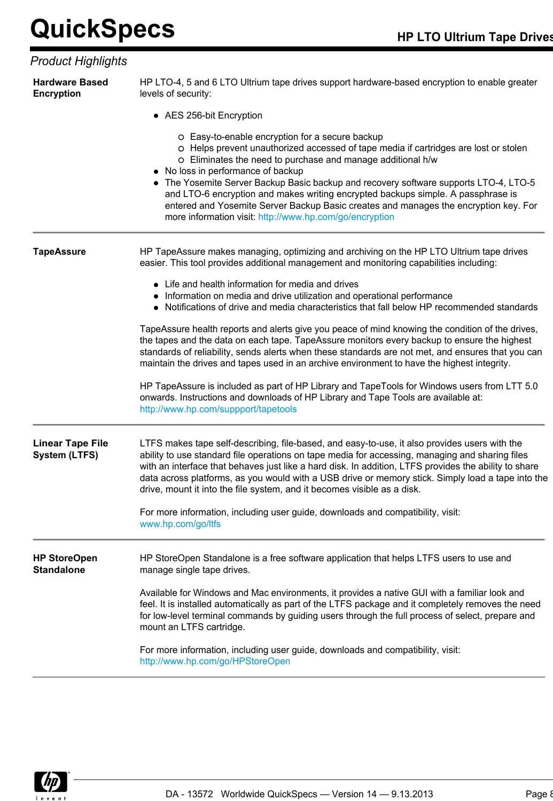### *Product Highlights*

| • AES 256-bit Encryption<br>O Easy-to-enable encryption for a secure backup<br>O Helps prevent unauthorized accessed of tape media if cartridges are lost or stolen<br>O Eliminates the need to purchase and manage additional h/w<br>• No loss in performance of backup<br>The Yosemite Server Backup Basic backup and recovery software supports LTO-4, LTO-5<br>and LTO-6 encryption and makes writing encrypted backups simple. A passphrase is<br>entered and Yosemite Server Backup Basic creates and manages the encryption key. For<br>more information visit: http://www.hp.com/go/encryption<br>HP TapeAssure makes managing, optimizing and archiving on the HP LTO Ultrium tape drives<br>easier. This tool provides additional management and monitoring capabilities including:<br>• Life and health information for media and drives<br>• Information on media and drive utilization and operational performance<br>• Notifications of drive and media characteristics that fall below HP recommended standards<br>TapeAssure health reports and alerts give you peace of mind knowing the condition of the drives,<br>the tapes and the data on each tape. TapeAssure monitors every backup to ensure the highest<br>standards of reliability, sends alerts when these standards are not met, and ensures that you can<br>maintain the drives and tapes used in an archive environment to have the highest integrity.<br>HP TapeAssure is included as part of HP Library and TapeTools for Windows users from LTT 5.0<br>onwards. Instructions and downloads of HP Library and Tape Tools are available at:<br>http://www.hp.com/suppport/tapetools<br>LTFS makes tape self-describing, file-based, and easy-to-use, it also provides users with the<br>ability to use standard file operations on tape media for accessing, managing and sharing files<br>with an interface that behaves just like a hard disk. In addition, LTFS provides the ability to share<br>data across platforms, as you would with a USB drive or memory stick. Simply load a tape into the<br>drive, mount it into the file system, and it becomes visible as a disk.<br>For more information, including user guide, downloads and compatibility, visit:<br>www.hp.com/go/ltfs<br>HP StoreOpen Standalone is a free software application that helps LTFS users to use and<br>manage single tape drives. | <b>Hardware Based</b><br><b>Encryption</b>      | HP LTO-4, 5 and 6 LTO Ultrium tape drives support hardware-based encryption to enable greater<br>levels of security: |  |  |
|----------------------------------------------------------------------------------------------------------------------------------------------------------------------------------------------------------------------------------------------------------------------------------------------------------------------------------------------------------------------------------------------------------------------------------------------------------------------------------------------------------------------------------------------------------------------------------------------------------------------------------------------------------------------------------------------------------------------------------------------------------------------------------------------------------------------------------------------------------------------------------------------------------------------------------------------------------------------------------------------------------------------------------------------------------------------------------------------------------------------------------------------------------------------------------------------------------------------------------------------------------------------------------------------------------------------------------------------------------------------------------------------------------------------------------------------------------------------------------------------------------------------------------------------------------------------------------------------------------------------------------------------------------------------------------------------------------------------------------------------------------------------------------------------------------------------------------------------------------------------------------------------------------------------------------------------------------------------------------------------------------------------------------------------------------------------------------------------------------------------------------------------------------------------------------------------------------------------------------------------------------------------------------------------------------------------------------------------------------------------------------------------------|-------------------------------------------------|----------------------------------------------------------------------------------------------------------------------|--|--|
|                                                                                                                                                                                                                                                                                                                                                                                                                                                                                                                                                                                                                                                                                                                                                                                                                                                                                                                                                                                                                                                                                                                                                                                                                                                                                                                                                                                                                                                                                                                                                                                                                                                                                                                                                                                                                                                                                                                                                                                                                                                                                                                                                                                                                                                                                                                                                                                                    |                                                 |                                                                                                                      |  |  |
|                                                                                                                                                                                                                                                                                                                                                                                                                                                                                                                                                                                                                                                                                                                                                                                                                                                                                                                                                                                                                                                                                                                                                                                                                                                                                                                                                                                                                                                                                                                                                                                                                                                                                                                                                                                                                                                                                                                                                                                                                                                                                                                                                                                                                                                                                                                                                                                                    |                                                 |                                                                                                                      |  |  |
|                                                                                                                                                                                                                                                                                                                                                                                                                                                                                                                                                                                                                                                                                                                                                                                                                                                                                                                                                                                                                                                                                                                                                                                                                                                                                                                                                                                                                                                                                                                                                                                                                                                                                                                                                                                                                                                                                                                                                                                                                                                                                                                                                                                                                                                                                                                                                                                                    | <b>TapeAssure</b>                               |                                                                                                                      |  |  |
|                                                                                                                                                                                                                                                                                                                                                                                                                                                                                                                                                                                                                                                                                                                                                                                                                                                                                                                                                                                                                                                                                                                                                                                                                                                                                                                                                                                                                                                                                                                                                                                                                                                                                                                                                                                                                                                                                                                                                                                                                                                                                                                                                                                                                                                                                                                                                                                                    |                                                 |                                                                                                                      |  |  |
|                                                                                                                                                                                                                                                                                                                                                                                                                                                                                                                                                                                                                                                                                                                                                                                                                                                                                                                                                                                                                                                                                                                                                                                                                                                                                                                                                                                                                                                                                                                                                                                                                                                                                                                                                                                                                                                                                                                                                                                                                                                                                                                                                                                                                                                                                                                                                                                                    |                                                 |                                                                                                                      |  |  |
|                                                                                                                                                                                                                                                                                                                                                                                                                                                                                                                                                                                                                                                                                                                                                                                                                                                                                                                                                                                                                                                                                                                                                                                                                                                                                                                                                                                                                                                                                                                                                                                                                                                                                                                                                                                                                                                                                                                                                                                                                                                                                                                                                                                                                                                                                                                                                                                                    |                                                 |                                                                                                                      |  |  |
|                                                                                                                                                                                                                                                                                                                                                                                                                                                                                                                                                                                                                                                                                                                                                                                                                                                                                                                                                                                                                                                                                                                                                                                                                                                                                                                                                                                                                                                                                                                                                                                                                                                                                                                                                                                                                                                                                                                                                                                                                                                                                                                                                                                                                                                                                                                                                                                                    | <b>Linear Tape File</b><br><b>System (LTFS)</b> |                                                                                                                      |  |  |
|                                                                                                                                                                                                                                                                                                                                                                                                                                                                                                                                                                                                                                                                                                                                                                                                                                                                                                                                                                                                                                                                                                                                                                                                                                                                                                                                                                                                                                                                                                                                                                                                                                                                                                                                                                                                                                                                                                                                                                                                                                                                                                                                                                                                                                                                                                                                                                                                    |                                                 |                                                                                                                      |  |  |
|                                                                                                                                                                                                                                                                                                                                                                                                                                                                                                                                                                                                                                                                                                                                                                                                                                                                                                                                                                                                                                                                                                                                                                                                                                                                                                                                                                                                                                                                                                                                                                                                                                                                                                                                                                                                                                                                                                                                                                                                                                                                                                                                                                                                                                                                                                                                                                                                    | <b>HP StoreOpen</b><br><b>Standalone</b>        |                                                                                                                      |  |  |
| feel. It is installed automatically as part of the LTFS package and it completely removes the need<br>for low-level terminal commands by guiding users through the full process of select, prepare and<br>mount an LTFS cartridge.                                                                                                                                                                                                                                                                                                                                                                                                                                                                                                                                                                                                                                                                                                                                                                                                                                                                                                                                                                                                                                                                                                                                                                                                                                                                                                                                                                                                                                                                                                                                                                                                                                                                                                                                                                                                                                                                                                                                                                                                                                                                                                                                                                 |                                                 | Available for Windows and Mac environments, it provides a native GUI with a familiar look and                        |  |  |
| For more information, including user guide, downloads and compatibility, visit:<br>http://www.hp.com/go/HPStoreOpen                                                                                                                                                                                                                                                                                                                                                                                                                                                                                                                                                                                                                                                                                                                                                                                                                                                                                                                                                                                                                                                                                                                                                                                                                                                                                                                                                                                                                                                                                                                                                                                                                                                                                                                                                                                                                                                                                                                                                                                                                                                                                                                                                                                                                                                                                |                                                 |                                                                                                                      |  |  |

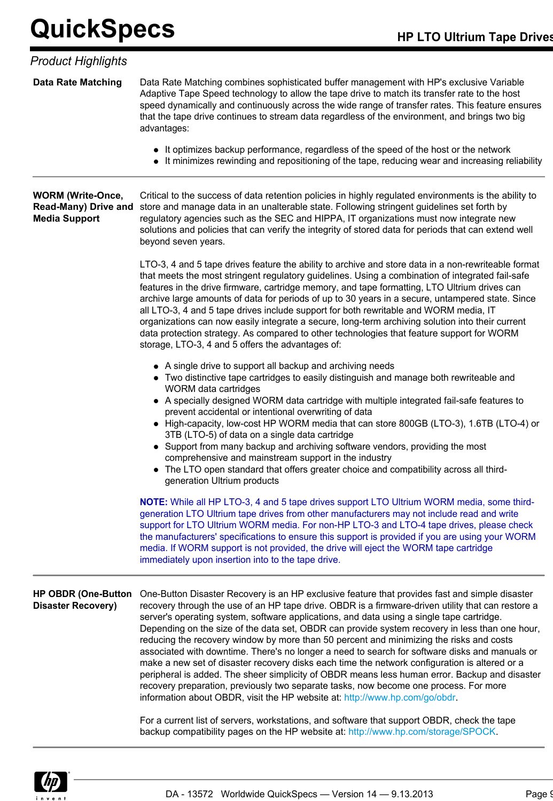| <b>Data Rate Matching</b><br>Data Rate Matching combines sophisticated buffer management with HP's exclusive Variable<br>Adaptive Tape Speed technology to allow the tape drive to match its transfer rate to the host<br>that the tape drive continues to stream data regardless of the environment, and brings two big<br>advantages:<br>• It optimizes backup performance, regardless of the speed of the host or the network<br><b>WORM (Write-Once,</b><br>store and manage data in an unalterable state. Following stringent guidelines set forth by<br><b>Read-Many) Drive and</b><br>regulatory agencies such as the SEC and HIPPA, IT organizations must now integrate new<br><b>Media Support</b><br>beyond seven years.<br>that meets the most stringent regulatory guidelines. Using a combination of integrated fail-safe<br>features in the drive firmware, cartridge memory, and tape formatting, LTO Ultrium drives can<br>all LTO-3, 4 and 5 tape drives include support for both rewritable and WORM media, IT<br>organizations can now easily integrate a secure, long-term archiving solution into their current<br>data protection strategy. As compared to other technologies that feature support for WORM<br>storage, LTO-3, 4 and 5 offers the advantages of:<br>• A single drive to support all backup and archiving needs<br>• Two distinctive tape cartridges to easily distinguish and manage both rewriteable and<br>WORM data cartridges<br>• A specially designed WORM data cartridge with multiple integrated fail-safe features to<br>prevent accidental or intentional overwriting of data<br>3TB (LTO-5) of data on a single data cartridge<br>• Support from many backup and archiving software vendors, providing the most<br>comprehensive and mainstream support in the industry<br>• The LTO open standard that offers greater choice and compatibility across all third-<br>generation Ultrium products<br>generation LTO Ultrium tape drives from other manufacturers may not include read and write<br>media. If WORM support is not provided, the drive will eject the WORM tape cartridge<br>immediately upon insertion into to the tape drive.<br><b>HP OBDR (One-Button</b><br><b>Disaster Recovery)</b><br>server's operating system, software applications, and data using a single tape cartridge.<br>reducing the recovery window by more than 50 percent and minimizing the risks and costs<br>make a new set of disaster recovery disks each time the network configuration is altered or a<br>recovery preparation, previously two separate tasks, now become one process. For more<br>information about OBDR, visit the HP website at: http://www.hp.com/go/obdr.<br>For a current list of servers, workstations, and software that support OBDR, check the tape<br>backup compatibility pages on the HP website at: http://www.hp.com/storage/SPOCK. | <b>Product Highlights</b> |                                                                                                                                                                                                                                                                                                                                                                                                                                                                                                           |  |  |
|---------------------------------------------------------------------------------------------------------------------------------------------------------------------------------------------------------------------------------------------------------------------------------------------------------------------------------------------------------------------------------------------------------------------------------------------------------------------------------------------------------------------------------------------------------------------------------------------------------------------------------------------------------------------------------------------------------------------------------------------------------------------------------------------------------------------------------------------------------------------------------------------------------------------------------------------------------------------------------------------------------------------------------------------------------------------------------------------------------------------------------------------------------------------------------------------------------------------------------------------------------------------------------------------------------------------------------------------------------------------------------------------------------------------------------------------------------------------------------------------------------------------------------------------------------------------------------------------------------------------------------------------------------------------------------------------------------------------------------------------------------------------------------------------------------------------------------------------------------------------------------------------------------------------------------------------------------------------------------------------------------------------------------------------------------------------------------------------------------------------------------------------------------------------------------------------------------------------------------------------------------------------------------------------------------------------------------------------------------------------------------------------------------------------------------------------------------------------------------------------------------------------------------------------------------------------------------------------------------------------------------------------------------------------------------------------------------------------------------------------------------------------------------------------------------------------------------------------------------------------------------------------------------------|---------------------------|-----------------------------------------------------------------------------------------------------------------------------------------------------------------------------------------------------------------------------------------------------------------------------------------------------------------------------------------------------------------------------------------------------------------------------------------------------------------------------------------------------------|--|--|
|                                                                                                                                                                                                                                                                                                                                                                                                                                                                                                                                                                                                                                                                                                                                                                                                                                                                                                                                                                                                                                                                                                                                                                                                                                                                                                                                                                                                                                                                                                                                                                                                                                                                                                                                                                                                                                                                                                                                                                                                                                                                                                                                                                                                                                                                                                                                                                                                                                                                                                                                                                                                                                                                                                                                                                                                                                                                                                               |                           | speed dynamically and continuously across the wide range of transfer rates. This feature ensures                                                                                                                                                                                                                                                                                                                                                                                                          |  |  |
|                                                                                                                                                                                                                                                                                                                                                                                                                                                                                                                                                                                                                                                                                                                                                                                                                                                                                                                                                                                                                                                                                                                                                                                                                                                                                                                                                                                                                                                                                                                                                                                                                                                                                                                                                                                                                                                                                                                                                                                                                                                                                                                                                                                                                                                                                                                                                                                                                                                                                                                                                                                                                                                                                                                                                                                                                                                                                                               |                           | • It minimizes rewinding and repositioning of the tape, reducing wear and increasing reliability                                                                                                                                                                                                                                                                                                                                                                                                          |  |  |
|                                                                                                                                                                                                                                                                                                                                                                                                                                                                                                                                                                                                                                                                                                                                                                                                                                                                                                                                                                                                                                                                                                                                                                                                                                                                                                                                                                                                                                                                                                                                                                                                                                                                                                                                                                                                                                                                                                                                                                                                                                                                                                                                                                                                                                                                                                                                                                                                                                                                                                                                                                                                                                                                                                                                                                                                                                                                                                               |                           | Critical to the success of data retention policies in highly regulated environments is the ability to<br>solutions and policies that can verify the integrity of stored data for periods that can extend well                                                                                                                                                                                                                                                                                             |  |  |
|                                                                                                                                                                                                                                                                                                                                                                                                                                                                                                                                                                                                                                                                                                                                                                                                                                                                                                                                                                                                                                                                                                                                                                                                                                                                                                                                                                                                                                                                                                                                                                                                                                                                                                                                                                                                                                                                                                                                                                                                                                                                                                                                                                                                                                                                                                                                                                                                                                                                                                                                                                                                                                                                                                                                                                                                                                                                                                               |                           | LTO-3, 4 and 5 tape drives feature the ability to archive and store data in a non-rewriteable format<br>archive large amounts of data for periods of up to 30 years in a secure, untampered state. Since                                                                                                                                                                                                                                                                                                  |  |  |
|                                                                                                                                                                                                                                                                                                                                                                                                                                                                                                                                                                                                                                                                                                                                                                                                                                                                                                                                                                                                                                                                                                                                                                                                                                                                                                                                                                                                                                                                                                                                                                                                                                                                                                                                                                                                                                                                                                                                                                                                                                                                                                                                                                                                                                                                                                                                                                                                                                                                                                                                                                                                                                                                                                                                                                                                                                                                                                               |                           | • High-capacity, low-cost HP WORM media that can store 800GB (LTO-3), 1.6TB (LTO-4) or                                                                                                                                                                                                                                                                                                                                                                                                                    |  |  |
|                                                                                                                                                                                                                                                                                                                                                                                                                                                                                                                                                                                                                                                                                                                                                                                                                                                                                                                                                                                                                                                                                                                                                                                                                                                                                                                                                                                                                                                                                                                                                                                                                                                                                                                                                                                                                                                                                                                                                                                                                                                                                                                                                                                                                                                                                                                                                                                                                                                                                                                                                                                                                                                                                                                                                                                                                                                                                                               |                           | <b>NOTE:</b> While all HP LTO-3, 4 and 5 tape drives support LTO Ultrium WORM media, some third-<br>support for LTO Ultrium WORM media. For non-HP LTO-3 and LTO-4 tape drives, please check<br>the manufacturers' specifications to ensure this support is provided if you are using your WORM                                                                                                                                                                                                           |  |  |
|                                                                                                                                                                                                                                                                                                                                                                                                                                                                                                                                                                                                                                                                                                                                                                                                                                                                                                                                                                                                                                                                                                                                                                                                                                                                                                                                                                                                                                                                                                                                                                                                                                                                                                                                                                                                                                                                                                                                                                                                                                                                                                                                                                                                                                                                                                                                                                                                                                                                                                                                                                                                                                                                                                                                                                                                                                                                                                               |                           | One-Button Disaster Recovery is an HP exclusive feature that provides fast and simple disaster<br>recovery through the use of an HP tape drive. OBDR is a firmware-driven utility that can restore a<br>Depending on the size of the data set, OBDR can provide system recovery in less than one hour,<br>associated with downtime. There's no longer a need to search for software disks and manuals or<br>peripheral is added. The sheer simplicity of OBDR means less human error. Backup and disaster |  |  |
|                                                                                                                                                                                                                                                                                                                                                                                                                                                                                                                                                                                                                                                                                                                                                                                                                                                                                                                                                                                                                                                                                                                                                                                                                                                                                                                                                                                                                                                                                                                                                                                                                                                                                                                                                                                                                                                                                                                                                                                                                                                                                                                                                                                                                                                                                                                                                                                                                                                                                                                                                                                                                                                                                                                                                                                                                                                                                                               |                           |                                                                                                                                                                                                                                                                                                                                                                                                                                                                                                           |  |  |

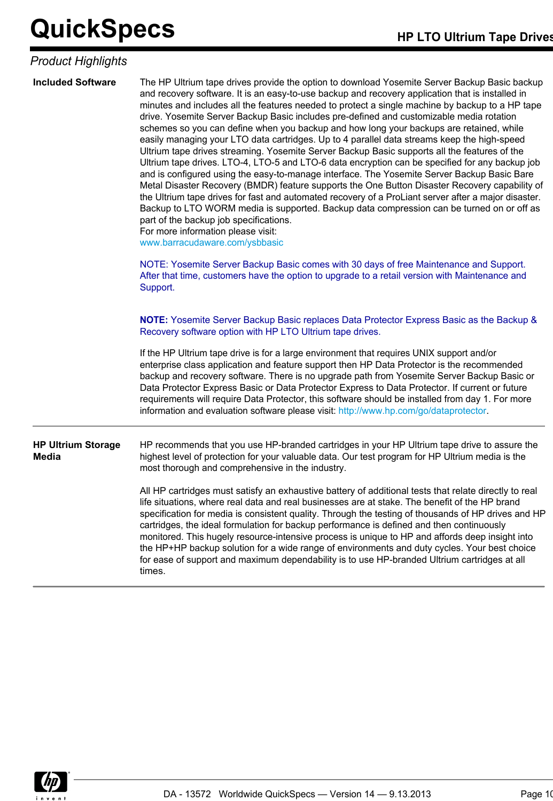### *Product Highlights*

| <b>Included Software</b>           | The HP Ultrium tape drives provide the option to download Yosemite Server Backup Basic backup<br>and recovery software. It is an easy-to-use backup and recovery application that is installed in<br>minutes and includes all the features needed to protect a single machine by backup to a HP tape<br>drive. Yosemite Server Backup Basic includes pre-defined and customizable media rotation<br>schemes so you can define when you backup and how long your backups are retained, while<br>easily managing your LTO data cartridges. Up to 4 parallel data streams keep the high-speed<br>Ultrium tape drives streaming. Yosemite Server Backup Basic supports all the features of the<br>Ultrium tape drives. LTO-4, LTO-5 and LTO-6 data encryption can be specified for any backup job<br>and is configured using the easy-to-manage interface. The Yosemite Server Backup Basic Bare<br>Metal Disaster Recovery (BMDR) feature supports the One Button Disaster Recovery capability of<br>the Ultrium tape drives for fast and automated recovery of a ProLiant server after a major disaster.<br>Backup to LTO WORM media is supported. Backup data compression can be turned on or off as<br>part of the backup job specifications.<br>For more information please visit:<br>www.barracudaware.com/ysbbasic<br>NOTE: Yosemite Server Backup Basic comes with 30 days of free Maintenance and Support.<br>After that time, customers have the option to upgrade to a retail version with Maintenance and<br>Support. |
|------------------------------------|-------------------------------------------------------------------------------------------------------------------------------------------------------------------------------------------------------------------------------------------------------------------------------------------------------------------------------------------------------------------------------------------------------------------------------------------------------------------------------------------------------------------------------------------------------------------------------------------------------------------------------------------------------------------------------------------------------------------------------------------------------------------------------------------------------------------------------------------------------------------------------------------------------------------------------------------------------------------------------------------------------------------------------------------------------------------------------------------------------------------------------------------------------------------------------------------------------------------------------------------------------------------------------------------------------------------------------------------------------------------------------------------------------------------------------------------------------------------------------------------------------------------------------|
|                                    | NOTE: Yosemite Server Backup Basic replaces Data Protector Express Basic as the Backup &<br>Recovery software option with HP LTO Ultrium tape drives.<br>If the HP Ultrium tape drive is for a large environment that requires UNIX support and/or                                                                                                                                                                                                                                                                                                                                                                                                                                                                                                                                                                                                                                                                                                                                                                                                                                                                                                                                                                                                                                                                                                                                                                                                                                                                            |
|                                    | enterprise class application and feature support then HP Data Protector is the recommended<br>backup and recovery software. There is no upgrade path from Yosemite Server Backup Basic or<br>Data Protector Express Basic or Data Protector Express to Data Protector. If current or future<br>requirements will require Data Protector, this software should be installed from day 1. For more<br>information and evaluation software please visit: http://www.hp.com/go/dataprotector.                                                                                                                                                                                                                                                                                                                                                                                                                                                                                                                                                                                                                                                                                                                                                                                                                                                                                                                                                                                                                                      |
| <b>HP Ultrium Storage</b><br>Media | HP recommends that you use HP-branded cartridges in your HP Ultrium tape drive to assure the<br>highest level of protection for your valuable data. Our test program for HP Ultrium media is the<br>most thorough and comprehensive in the industry.                                                                                                                                                                                                                                                                                                                                                                                                                                                                                                                                                                                                                                                                                                                                                                                                                                                                                                                                                                                                                                                                                                                                                                                                                                                                          |
|                                    | All HP cartridges must satisfy an exhaustive battery of additional tests that relate directly to real<br>life situations, where real data and real businesses are at stake. The benefit of the HP brand<br>specification for media is consistent quality. Through the testing of thousands of HP drives and HP<br>cartridges, the ideal formulation for backup performance is defined and then continuously<br>monitored. This hugely resource-intensive process is unique to HP and affords deep insight into<br>the HP+HP backup solution for a wide range of environments and duty cycles. Your best choice<br>for ease of support and maximum dependability is to use HP-branded Ultrium cartridges at all<br>times.                                                                                                                                                                                                                                                                                                                                                                                                                                                                                                                                                                                                                                                                                                                                                                                                      |

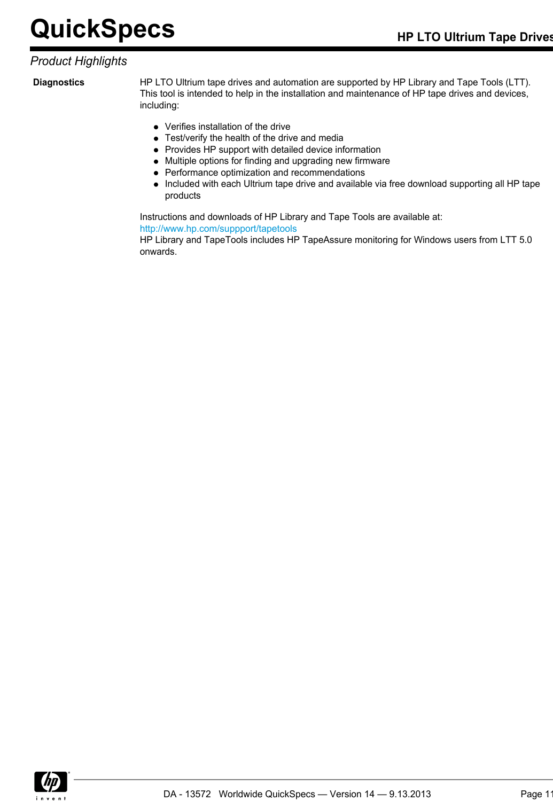### *Product Highlights*

**Diagnostics** HP LTO Ultrium tape drives and automation are supported by HP Library and Tape Tools (LTT). This tool is intended to help in the installation and maintenance of HP tape drives and devices, including:

- Verifies installation of the drive
- Test/verify the health of the drive and media
- Provides HP support with detailed device information
- Multiple options for finding and upgrading new firmware
- Performance optimization and recommendations
- Included with each Ultrium tape drive and available via free download supporting all HP tape products

Instructions and downloads of HP Library and Tape Tools are available at: <http://www.hp.com/suppport/tapetools>

HP Library and TapeTools includes HP TapeAssure monitoring for Windows users from LTT 5.0 onwards.

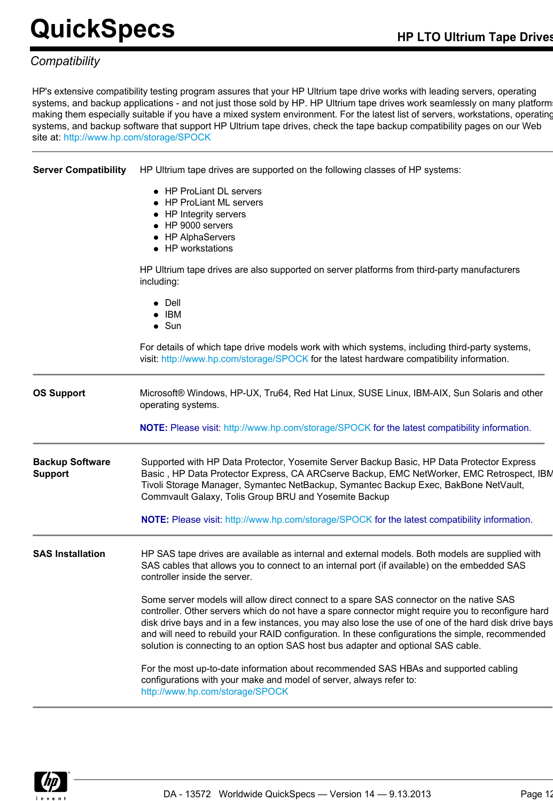### *Compatibility*

HP's extensive compatibility testing program assures that your HP Ultrium tape drive works with leading servers, operating systems, and backup applications - and not just those sold by HP. HP Ultrium tape drives work seamlessly on many platform making them especially suitable if you have a mixed system environment. For the latest list of servers, workstations, operating systems, and backup software that support HP Ultrium tape drives, check the tape backup compatibility pages on our Web site at: <http://www.hp.com/storage/SPOCK>

**Server Compatibility** HP Ultrium tape drives are supported on the following classes of HP systems:

- HP ProLiant DL servers
- HP ProLiant ML servers
- HP Integrity servers
- HP 9000 servers
- HP AlphaServers
- HP workstations

HP Ultrium tape drives are also supported on server platforms from third-party manufacturers including:

- Dell
- $\bullet$  IBM
- $\bullet$  Sun

For details of which tape drive models work with which systems, including third-party systems, visit: <http://www.hp.com/storage/SPOCK> for the latest hardware compatibility information.

**OS Support** Microsoft® Windows, HP-UX, Tru64, Red Hat Linux, SUSE Linux, IBM-AIX, Sun Solaris and other operating systems.

**NOTE:** Please visit: <http://www.hp.com/storage/SPOCK>for the latest compatibility information.

**Backup Software Support** Supported with HP Data Protector, Yosemite Server Backup Basic, HP Data Protector Express Basic , HP Data Protector Express, CA ARCserve Backup, EMC NetWorker, EMC Retrospect, IBM Tivoli Storage Manager, Symantec NetBackup, Symantec Backup Exec, BakBone NetVault, Commvault Galaxy, Tolis Group BRU and Yosemite Backup

**NOTE:** Please visit: <http://www.hp.com/storage/SPOCK> for the latest compatibility information.

**SAS Installation** HP SAS tape drives are available as internal and external models. Both models are supplied with SAS cables that allows you to connect to an internal port (if available) on the embedded SAS controller inside the server.

> Some server models will allow direct connect to a spare SAS connector on the native SAS controller. Other servers which do not have a spare connector might require you to reconfigure hard disk drive bays and in a few instances, you may also lose the use of one of the hard disk drive bays and will need to rebuild your RAID configuration. In these configurations the simple, recommended solution is connecting to an option SAS host bus adapter and optional SAS cable.

For the most up-to-date information about recommended SAS HBAs and supported cabling configurations with your make and model of server, always refer to: <http://www.hp.com/storage/SPOCK>

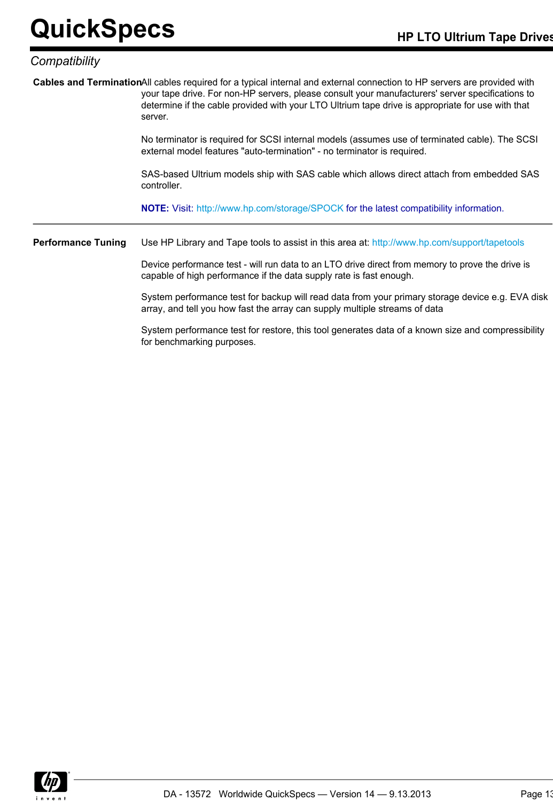### *Compatibility*

|         | Cables and TerminationAll cables required for a typical internal and external connection to HP servers are provided with |
|---------|--------------------------------------------------------------------------------------------------------------------------|
|         | your tape drive. For non-HP servers, please consult your manufacturers' server specifications to                         |
|         | determine if the cable provided with your LTO Ultrium tape drive is appropriate for use with that                        |
| server. |                                                                                                                          |

No terminator is required for SCSI internal models (assumes use of terminated cable). The SCSI external model features "auto-termination" - no terminator is required.

SAS-based Ultrium models ship with SAS cable which allows direct attach from embedded SAS controller.

**NOTE:** Visit: <http://www.hp.com/storage/SPOCK> for the latest compatibility information.

Performance Tuning Use HP Library and Tape tools to assist in this area at:<http://www.hp.com/support/tapetools>

Device performance test - will run data to an LTO drive direct from memory to prove the drive is capable of high performance if the data supply rate is fast enough.

System performance test for backup will read data from your primary storage device e.g. EVA disk array, and tell you how fast the array can supply multiple streams of data

System performance test for restore, this tool generates data of a known size and compressibility for benchmarking purposes.

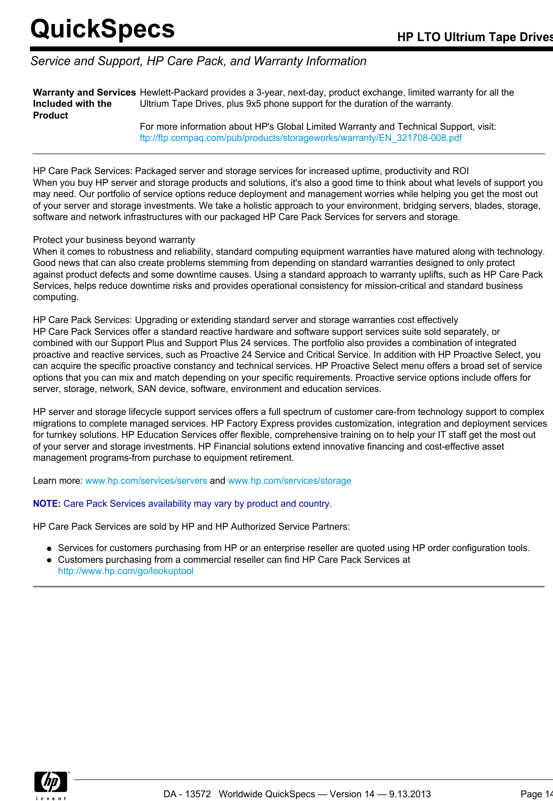### *Service and Support, HP Care Pack, and Warranty Information*

**Warranty and Services** Hewlett-Packard provides a 3-year, next-day, product exchange, limited warranty for all the **Included with the Product** Ultrium Tape Drives, plus 9x5 phone support for the duration of the warranty.

For more information about HP's Global Limited Warranty and Technical Support, visit: [ftp://ftp.compaq.com/pub/products/storageworks/warranty/EN\\_321708-008.pdf](ftp://ftp.compaq.com/pub/products/storageworks/warranty/EN_321708-008.pdf)

HP Care Pack Services: Packaged server and storage services for increased uptime, productivity and ROI When you buy HP server and storage products and solutions, it's also a good time to think about what levels of support you may need. Our portfolio of service options reduce deployment and management worries while helping you get the most out of your server and storage investments. We take a holistic approach to your environment, bridging servers, blades, storage, software and network infrastructures with our packaged HP Care Pack Services for servers and storage.

### Protect your business beyond warranty

When it comes to robustness and reliability, standard computing equipment warranties have matured along with technology. Good news that can also create problems stemming from depending on standard warranties designed to only protect against product defects and some downtime causes. Using a standard approach to warranty uplifts, such as HP Care Pack Services, helps reduce downtime risks and provides operational consistency for mission-critical and standard business computing.

HP Care Pack Services: Upgrading or extending standard server and storage warranties cost effectively HP Care Pack Services offer a standard reactive hardware and software support services suite sold separately, or combined with our Support Plus and Support Plus 24 services. The portfolio also provides a combination of integrated proactive and reactive services, such as Proactive 24 Service and Critical Service. In addition with HP Proactive Select, you can acquire the specific proactive constancy and technical services. HP Proactive Select menu offers a broad set of service options that you can mix and match depending on your specific requirements. Proactive service options include offers for server, storage, network, SAN device, software, environment and education services.

HP server and storage lifecycle support services offers a full spectrum of customer care-from technology support to complex migrations to complete managed services. HP Factory Express provides customization, integration and deployment services for turnkey solutions. HP Education Services offer flexible, comprehensive training on to help your IT staff get the most out of your server and storage investments. HP Financial solutions extend innovative financing and cost-effective asset management programs-from purchase to equipment retirement.

Learn more: [www.hp.com/services/servers](http://www.hp.com/services/servers) and [www.hp.com/services/storage](http://www.hp.com/services/storage)

### **NOTE:** Care Pack Services availability may vary by product and country.

HP Care Pack Services are sold by HP and HP Authorized Service Partners:

- Services for customers purchasing from HP or an enterprise reseller are quoted using HP order configuration tools.
- Customers purchasing from a commercial reseller can find HP Care Pack Services at <http://www.hp.com/go/lookuptool>

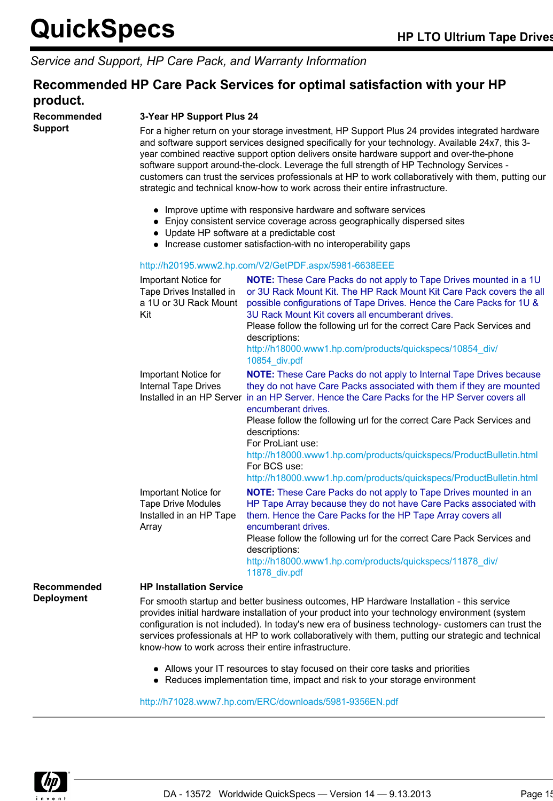### *Service and Support, HP Care Pack, and Warranty Information*

### **Recommended HP Care Pack Services for optimal satisfaction with your HP product.**

**Recommended Support**

### **3-Year HP Support Plus 24**

For a higher return on your storage investment, HP Support Plus 24 provides integrated hardware and software support services designed specifically for your technology. Available 24x7, this 3 year combined reactive support option delivers onsite hardware support and over-the-phone software support around-the-clock. Leverage the full strength of HP Technology Services customers can trust the services professionals at HP to work collaboratively with them, putting our strategic and technical know-how to work across their entire infrastructure.

- Improve uptime with responsive hardware and software services
- Enjoy consistent service coverage across geographically dispersed sites
- Update HP software at a predictable cost
- Increase customer satisfaction-with no interoperability gaps

#### <http://h20195.www2.hp.com/V2/GetPDF.aspx/5981-6638EEE>

| Important Notice for<br>Tape Drives Installed in<br>a 1U or 3U Rack Mount<br>Kit      | <b>NOTE:</b> These Care Packs do not apply to Tape Drives mounted in a 1U<br>or 3U Rack Mount Kit. The HP Rack Mount Kit Care Pack covers the all<br>possible configurations of Tape Drives. Hence the Care Packs for 1U &<br>3U Rack Mount Kit covers all encumberant drives.<br>Please follow the following url for the correct Care Pack Services and<br>descriptions:<br>http://h18000.www1.hp.com/products/quickspecs/10854 div/<br>10854 div.pdf                                                                                                |
|---------------------------------------------------------------------------------------|-------------------------------------------------------------------------------------------------------------------------------------------------------------------------------------------------------------------------------------------------------------------------------------------------------------------------------------------------------------------------------------------------------------------------------------------------------------------------------------------------------------------------------------------------------|
| Important Notice for<br>Internal Tape Drives                                          | <b>NOTE:</b> These Care Packs do not apply to Internal Tape Drives because<br>they do not have Care Packs associated with them if they are mounted<br>Installed in an HP Server in an HP Server. Hence the Care Packs for the HP Server covers all<br>encumberant drives.<br>Please follow the following url for the correct Care Pack Services and<br>descriptions:<br>For ProLiant use:<br>http://h18000.www1.hp.com/products/quickspecs/ProductBulletin.html<br>For BCS use:<br>http://h18000.www1.hp.com/products/quickspecs/ProductBulletin.html |
| Important Notice for<br><b>Tape Drive Modules</b><br>Installed in an HP Tape<br>Array | <b>NOTE:</b> These Care Packs do not apply to Tape Drives mounted in an<br>HP Tape Array because they do not have Care Packs associated with<br>them. Hence the Care Packs for the HP Tape Array covers all<br>encumberant drives.<br>Please follow the following url for the correct Care Pack Services and<br>descriptions:<br>http://h18000.www1.hp.com/products/quickspecs/11878 div/<br>11878_div.pdf                                                                                                                                            |

**Recommended Deployment**

#### **HP Installation Service**

For smooth startup and better business outcomes, HP Hardware Installation - this service provides initial hardware installation of your product into your technology environment (system configuration is not included). In today's new era of business technology- customers can trust the services professionals at HP to work collaboratively with them, putting our strategic and technical know-how to work across their entire infrastructure.

- Allows your IT resources to stay focused on their core tasks and priorities
- Reduces implementation time, impact and risk to your storage environment

<http://h71028.www7.hp.com/ERC/downloads/5981-9356EN.pdf>

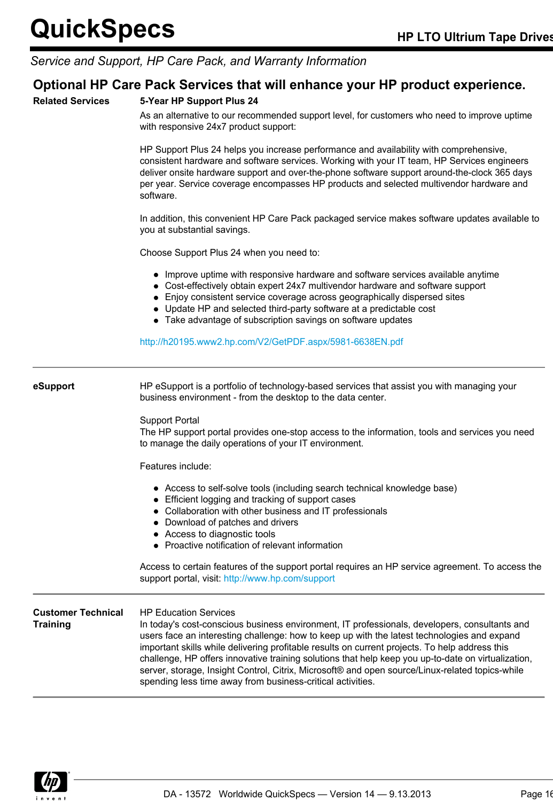### *Service and Support, HP Care Pack, and Warranty Information*

### **Optional HP Care Pack Services that will enhance your HP product experience.**

### **Related Services 5-Year HP Support Plus 24**

As an alternative to our recommended support level, for customers who need to improve uptime with responsive 24x7 product support:

HP Support Plus 24 helps you increase performance and availability with comprehensive, consistent hardware and software services. Working with your IT team, HP Services engineers deliver onsite hardware support and over-the-phone software support around-the-clock 365 days per year. Service coverage encompasses HP products and selected multivendor hardware and software.

In addition, this convenient HP Care Pack packaged service makes software updates available to you at substantial savings.

Choose Support Plus 24 when you need to:

- Improve uptime with responsive hardware and software services available anytime
- Cost-effectively obtain expert 24x7 multivendor hardware and software support
- Enjoy consistent service coverage across geographically dispersed sites
- Update HP and selected third-party software at a predictable cost
- Take advantage of subscription savings on software updates

<http://h20195.www2.hp.com/V2/GetPDF.aspx/5981-6638EN.pdf>

**eSupport** HP eSupport is a portfolio of technology-based services that assist you with managing your

business environment - from the desktop to the data center.

Support Portal

The HP support portal provides one-stop access to the information, tools and services you need to manage the daily operations of your IT environment.

Features include:

- Access to self-solve tools (including search technical knowledge base)
- Efficient logging and tracking of support cases
- Collaboration with other business and IT professionals
- Download of patches and drivers
- Access to diagnostic tools
- Proactive notification of relevant information

Access to certain features of the support portal requires an HP service agreement. To access the support portal, visit: <http://www.hp.com/support>

#### **Customer Technical Training** HP Education Services

In today's cost-conscious business environment, IT professionals, developers, consultants and users face an interesting challenge: how to keep up with the latest technologies and expand important skills while delivering profitable results on current projects. To help address this challenge, HP offers innovative training solutions that help keep you up-to-date on virtualization, server, storage, Insight Control, Citrix, Microsoft® and open source/Linux-related topics-while spending less time away from business-critical activities.

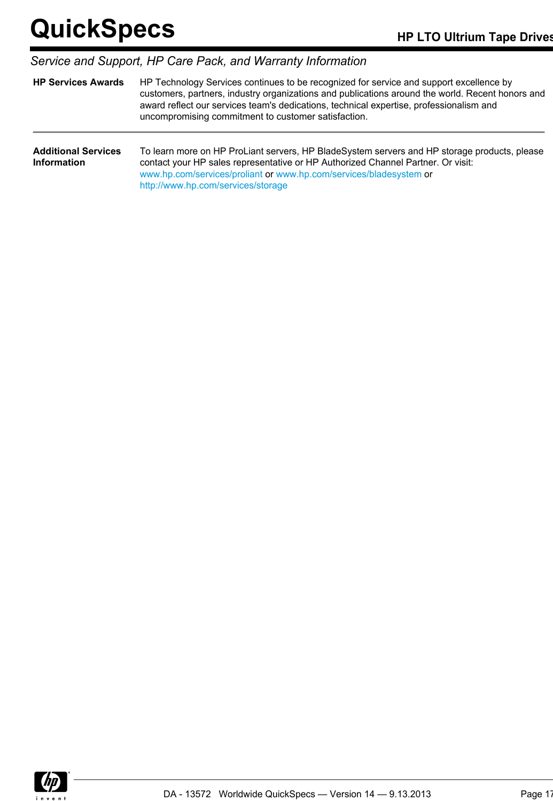| Service and Support, HP Care Pack, and Warranty Information |                                                                                                                                                                                                                                                                                                                                               |  |  |
|-------------------------------------------------------------|-----------------------------------------------------------------------------------------------------------------------------------------------------------------------------------------------------------------------------------------------------------------------------------------------------------------------------------------------|--|--|
| <b>HP Services Awards</b>                                   | HP Technology Services continues to be recognized for service and support excellence by<br>customers, partners, industry organizations and publications around the world. Recent honors and<br>award reflect our services team's dedications, technical expertise, professionalism and<br>uncompromising commitment to customer satisfaction. |  |  |
| <b>Additional Services</b><br><b>Information</b>            | To learn more on HP ProLiant servers, HP BladeSystem servers and HP storage products, please<br>contact your HP sales representative or HP Authorized Channel Partner. Or visit:<br>www.hp.com/services/proliant or www.hp.com/services/bladesystem or<br>http://www.hp.com/services/storage                                                  |  |  |

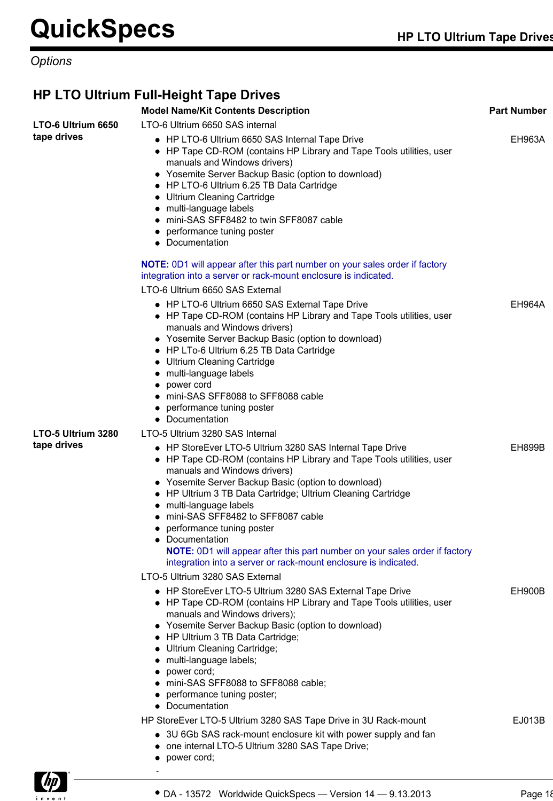## *Options*

## **HP LTO Ultrium Full-Height Tape Drives**

|                    | <b>Model Name/Kit Contents Description</b>                                                                                                                                                                                                                                                                                                                                                                                                                                                                                                                            | <b>Part Number</b> |
|--------------------|-----------------------------------------------------------------------------------------------------------------------------------------------------------------------------------------------------------------------------------------------------------------------------------------------------------------------------------------------------------------------------------------------------------------------------------------------------------------------------------------------------------------------------------------------------------------------|--------------------|
| LTO-6 Ultrium 6650 | LTO-6 Ultrium 6650 SAS internal                                                                                                                                                                                                                                                                                                                                                                                                                                                                                                                                       |                    |
| tape drives        | • HP LTO-6 Ultrium 6650 SAS Internal Tape Drive<br>• HP Tape CD-ROM (contains HP Library and Tape Tools utilities, user<br>manuals and Windows drivers)<br>• Yosemite Server Backup Basic (option to download)<br>• HP LTO-6 Ultrium 6.25 TB Data Cartridge<br>• Ultrium Cleaning Cartridge<br>• multi-language labels<br>• mini-SAS SFF8482 to twin SFF8087 cable<br>• performance tuning poster<br>• Documentation                                                                                                                                                  | EH963A             |
|                    | NOTE: 0D1 will appear after this part number on your sales order if factory                                                                                                                                                                                                                                                                                                                                                                                                                                                                                           |                    |
|                    | integration into a server or rack-mount enclosure is indicated.                                                                                                                                                                                                                                                                                                                                                                                                                                                                                                       |                    |
|                    | LTO-6 Ultrium 6650 SAS External                                                                                                                                                                                                                                                                                                                                                                                                                                                                                                                                       |                    |
|                    | • HP LTO-6 Ultrium 6650 SAS External Tape Drive<br>• HP Tape CD-ROM (contains HP Library and Tape Tools utilities, user<br>manuals and Windows drivers)<br>• Yosemite Server Backup Basic (option to download)<br>• HP LTo-6 Ultrium 6.25 TB Data Cartridge<br>• Ultrium Cleaning Cartridge<br>• multi-language labels<br>• power cord<br>• mini-SAS SFF8088 to SFF8088 cable<br>• performance tuning poster<br>• Documentation                                                                                                                                       | EH964A             |
| LTO-5 Ultrium 3280 | LTO-5 Ultrium 3280 SAS Internal                                                                                                                                                                                                                                                                                                                                                                                                                                                                                                                                       |                    |
| tape drives        | • HP StoreEver LTO-5 Ultrium 3280 SAS Internal Tape Drive<br>• HP Tape CD-ROM (contains HP Library and Tape Tools utilities, user<br>manuals and Windows drivers)<br>• Yosemite Server Backup Basic (option to download)<br>• HP Ultrium 3 TB Data Cartridge; Ultrium Cleaning Cartridge<br>• multi-language labels<br>• mini-SAS SFF8482 to SFF8087 cable<br>• performance tuning poster<br>• Documentation<br><b>NOTE:</b> 0D1 will appear after this part number on your sales order if factory<br>integration into a server or rack-mount enclosure is indicated. | EH899B             |
|                    | LTO-5 Ultrium 3280 SAS External                                                                                                                                                                                                                                                                                                                                                                                                                                                                                                                                       |                    |
|                    | • HP StoreEver LTO-5 Ultrium 3280 SAS External Tape Drive<br>• HP Tape CD-ROM (contains HP Library and Tape Tools utilities, user<br>manuals and Windows drivers);<br>• Yosemite Server Backup Basic (option to download)<br>• HP Ultrium 3 TB Data Cartridge;<br>• Ultrium Cleaning Cartridge;<br>• multi-language labels;<br>• power cord;<br>• mini-SAS SFF8088 to SFF8088 cable;                                                                                                                                                                                  | EH900B             |
|                    | • performance tuning poster;                                                                                                                                                                                                                                                                                                                                                                                                                                                                                                                                          |                    |
|                    | • Documentation                                                                                                                                                                                                                                                                                                                                                                                                                                                                                                                                                       |                    |
|                    | HP StoreEver LTO-5 Ultrium 3280 SAS Tape Drive in 3U Rack-mount                                                                                                                                                                                                                                                                                                                                                                                                                                                                                                       | EJ013B             |
|                    | • 3U 6Gb SAS rack-mount enclosure kit with power supply and fan<br>• one internal LTO-5 Ultrium 3280 SAS Tape Drive;<br>• power cord;                                                                                                                                                                                                                                                                                                                                                                                                                                 |                    |

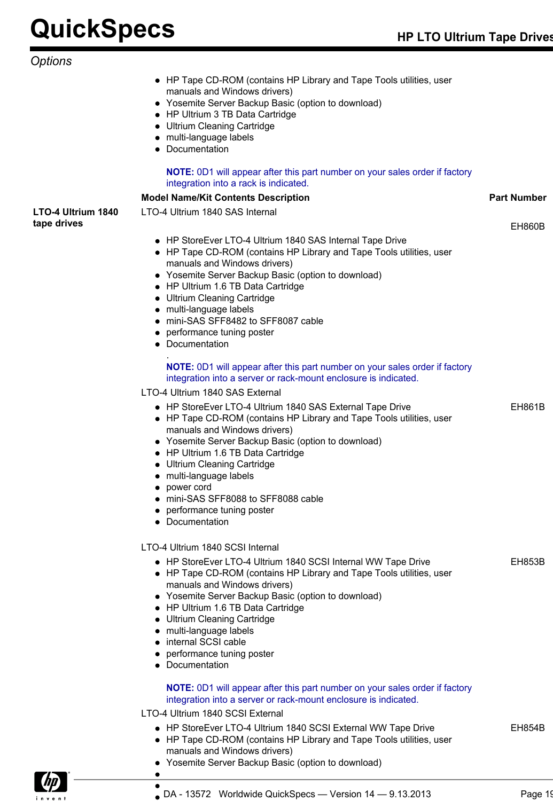|                                   | DA - 13572 Worldwide QuickSpecs - Version 14 - 9.13.2013                                                                                                                                                                                                                                                                                                                                                                                                                                                                                                                                                                   | Page 1             |
|-----------------------------------|----------------------------------------------------------------------------------------------------------------------------------------------------------------------------------------------------------------------------------------------------------------------------------------------------------------------------------------------------------------------------------------------------------------------------------------------------------------------------------------------------------------------------------------------------------------------------------------------------------------------------|--------------------|
|                                   | <b>NOTE:</b> 0D1 will appear after this part number on your sales order if factory<br>integration into a server or rack-mount enclosure is indicated.<br>LTO-4 Ultrium 1840 SCSI External<br>• HP StoreEver LTO-4 Ultrium 1840 SCSI External WW Tape Drive<br>• HP Tape CD-ROM (contains HP Library and Tape Tools utilities, user<br>manuals and Windows drivers)<br>• Yosemite Server Backup Basic (option to download)                                                                                                                                                                                                  | <b>EH854B</b>      |
|                                   | LTO-4 Ultrium 1840 SCSI Internal<br>• HP StoreEver LTO-4 Ultrium 1840 SCSI Internal WW Tape Drive<br>• HP Tape CD-ROM (contains HP Library and Tape Tools utilities, user<br>manuals and Windows drivers)<br>• Yosemite Server Backup Basic (option to download)<br>• HP Ultrium 1.6 TB Data Cartridge<br>• Ultrium Cleaning Cartridge<br>• multi-language labels<br>• internal SCSI cable<br>• performance tuning poster<br>• Documentation                                                                                                                                                                               | <b>EH853B</b>      |
|                                   | <b>NOTE:</b> 0D1 will appear after this part number on your sales order if factory<br>integration into a server or rack-mount enclosure is indicated.<br>LTO-4 Ultrium 1840 SAS External<br>• HP StoreEver LTO-4 Ultrium 1840 SAS External Tape Drive<br>• HP Tape CD-ROM (contains HP Library and Tape Tools utilities, user<br>manuals and Windows drivers)<br>• Yosemite Server Backup Basic (option to download)<br>• HP Ultrium 1.6 TB Data Cartridge<br>• Ultrium Cleaning Cartridge<br>• multi-language labels<br>power cord<br>mini-SAS SFF8088 to SFF8088 cable<br>• performance tuning poster<br>• Documentation | EH861B             |
| LTO-4 Ultrium 1840<br>tape drives | LTO-4 Ultrium 1840 SAS Internal<br>• HP StoreEver LTO-4 Ultrium 1840 SAS Internal Tape Drive<br>• HP Tape CD-ROM (contains HP Library and Tape Tools utilities, user<br>manuals and Windows drivers)<br>• Yosemite Server Backup Basic (option to download)<br>• HP Ultrium 1.6 TB Data Cartridge<br>• Ultrium Cleaning Cartridge<br>• multi-language labels<br>• mini-SAS SFF8482 to SFF8087 cable<br>• performance tuning poster<br>• Documentation                                                                                                                                                                      | EH860B             |
| Options                           | • HP Tape CD-ROM (contains HP Library and Tape Tools utilities, user<br>manuals and Windows drivers)<br>• Yosemite Server Backup Basic (option to download)<br>• HP Ultrium 3 TB Data Cartridge<br>• Ultrium Cleaning Cartridge<br>• multi-language labels<br>• Documentation<br><b>NOTE:</b> 0D1 will appear after this part number on your sales order if factory<br>integration into a rack is indicated.<br><b>Model Name/Kit Contents Description</b>                                                                                                                                                                 | <b>Part Number</b> |
|                                   |                                                                                                                                                                                                                                                                                                                                                                                                                                                                                                                                                                                                                            |                    |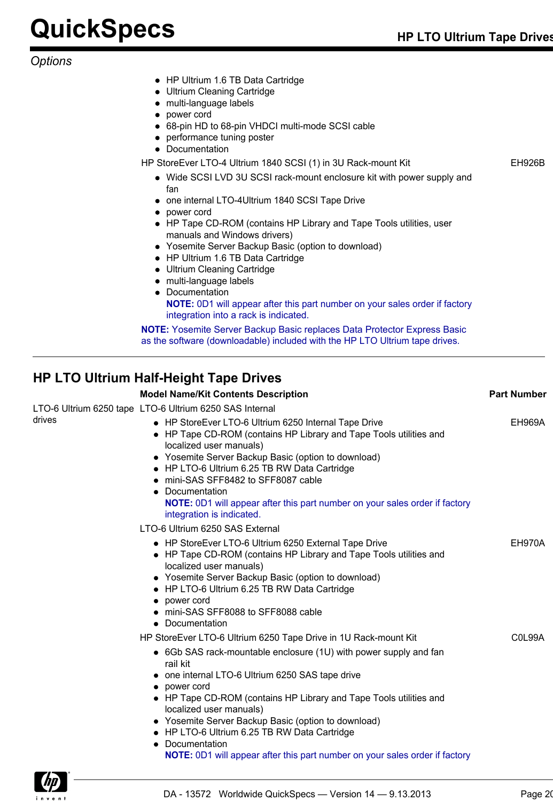*Options*

- HP Ultrium 1.6 TB Data Cartridge
- Ultrium Cleaning Cartridge
- multi-language labels
- power cord
- 68-pin HD to 68-pin VHDCI multi-mode SCSI cable
- performance tuning poster
- Documentation

HP StoreEver LTO-4 Ultrium 1840 SCSI (1) in 3U Rack-mount Kit FRIM FRIM EH926B

- Wide SCSI LVD 3U SCSI rack-mount enclosure kit with power supply and fan
- one internal LTO-4Ultrium 1840 SCSI Tape Drive
- power cord
- HP Tape CD-ROM (contains HP Library and Tape Tools utilities, user manuals and Windows drivers)
- Yosemite Server Backup Basic (option to download)
- HP Ultrium 1.6 TB Data Cartridge
- Ultrium Cleaning Cartridge
- multi-language labels
- Documentation

**NOTE:** 0D1 will appear after this part number on your sales order if factory integration into a rack is indicated.

**NOTE:** Yosemite Server Backup Basic replaces Data Protector Express Basic as the software (downloadable) included with the HP LTO Ultrium tape drives.

## **HP LTO Ultrium Half-Height Tape Drives**

|        | <b>Model Name/Kit Contents Description</b>                                                                                                                                                                                                                                                                                                                                                                                                       | <b>Part Number</b>               |
|--------|--------------------------------------------------------------------------------------------------------------------------------------------------------------------------------------------------------------------------------------------------------------------------------------------------------------------------------------------------------------------------------------------------------------------------------------------------|----------------------------------|
|        | LTO-6 Ultrium 6250 tape LTO-6 Ultrium 6250 SAS Internal                                                                                                                                                                                                                                                                                                                                                                                          |                                  |
| drives | • HP StoreEver LTO-6 Ultrium 6250 Internal Tape Drive<br>• HP Tape CD-ROM (contains HP Library and Tape Tools utilities and<br>localized user manuals)<br>• Yosemite Server Backup Basic (option to download)<br>• HP LTO-6 Ultrium 6.25 TB RW Data Cartridge<br>mini-SAS SFF8482 to SFF8087 cable<br>٠<br>Documentation<br>٠<br><b>NOTE:</b> 0D1 will appear after this part number on your sales order if factory<br>integration is indicated. | <b>EH969A</b>                    |
|        | LTO-6 Ultrium 6250 SAS External                                                                                                                                                                                                                                                                                                                                                                                                                  |                                  |
|        | • HP StoreEver LTO-6 Ultrium 6250 External Tape Drive<br>• HP Tape CD-ROM (contains HP Library and Tape Tools utilities and<br>localized user manuals)<br>• Yosemite Server Backup Basic (option to download)<br>• HP LTO-6 Ultrium 6.25 TB RW Data Cartridge<br>power cord<br>٠<br>• mini-SAS SFF8088 to SFF8088 cable<br>• Documentation                                                                                                       | EH970A                           |
|        | HP StoreEver LTO-6 Ultrium 6250 Tape Drive in 1U Rack-mount Kit<br>• 6Gb SAS rack-mountable enclosure (1U) with power supply and fan<br>rail kit<br>• one internal LTO-6 Ultrium 6250 SAS tape drive<br>• power cord<br>• HP Tape CD-ROM (contains HP Library and Tape Tools utilities and<br>localized user manuals)<br>• Yosemite Server Backup Basic (option to download)<br>• HP LTO-6 Ultrium 6.25 TB RW Data Cartridge<br>Documentation    | C <sub>0</sub> L <sub>99</sub> A |
|        | <b>NOTE:</b> 0D1 will appear after this part number on your sales order if factory                                                                                                                                                                                                                                                                                                                                                               |                                  |

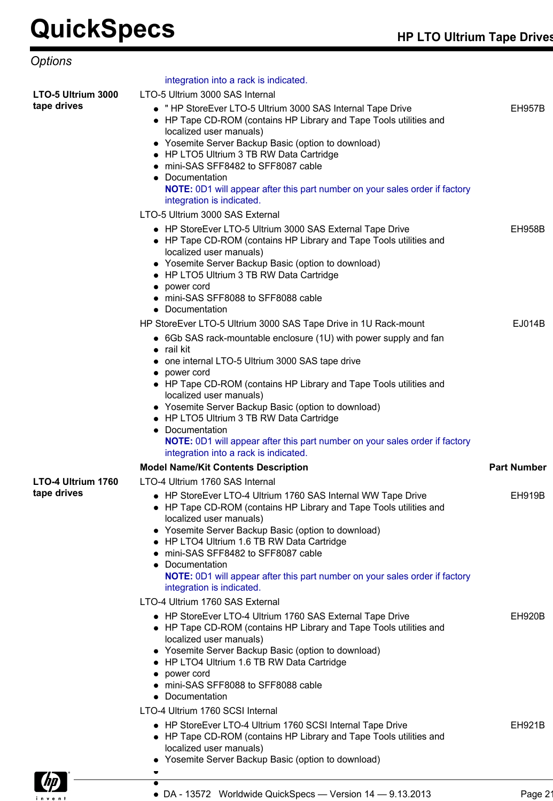| Options            |                                                                                                                                                                                                                                                                                                                                                                                                                                                                                                                                                               |                    |
|--------------------|---------------------------------------------------------------------------------------------------------------------------------------------------------------------------------------------------------------------------------------------------------------------------------------------------------------------------------------------------------------------------------------------------------------------------------------------------------------------------------------------------------------------------------------------------------------|--------------------|
|                    | integration into a rack is indicated.                                                                                                                                                                                                                                                                                                                                                                                                                                                                                                                         |                    |
| LTO-5 Ultrium 3000 | LTO-5 Ultrium 3000 SAS Internal                                                                                                                                                                                                                                                                                                                                                                                                                                                                                                                               |                    |
| tape drives        | • "HP StoreEver LTO-5 Ultrium 3000 SAS Internal Tape Drive<br>• HP Tape CD-ROM (contains HP Library and Tape Tools utilities and<br>localized user manuals)<br>• Yosemite Server Backup Basic (option to download)<br>• HP LTO5 Ultrium 3 TB RW Data Cartridge<br>mini-SAS SFF8482 to SFF8087 cable<br>Documentation<br>NOTE: 0D1 will appear after this part number on your sales order if factory<br>integration is indicated.<br>LTO-5 Ultrium 3000 SAS External                                                                                           | <b>EH957B</b>      |
|                    | • HP StoreEver LTO-5 Ultrium 3000 SAS External Tape Drive<br>• HP Tape CD-ROM (contains HP Library and Tape Tools utilities and<br>localized user manuals)<br>• Yosemite Server Backup Basic (option to download)<br>HP LTO5 Ultrium 3 TB RW Data Cartridge<br>power cord<br>mini-SAS SFF8088 to SFF8088 cable<br>Documentation                                                                                                                                                                                                                               | <b>EH958B</b>      |
|                    | HP StoreEver LTO-5 Ultrium 3000 SAS Tape Drive in 1U Rack-mount<br>• 6Gb SAS rack-mountable enclosure (1U) with power supply and fan<br>rail kit<br>one internal LTO-5 Ultrium 3000 SAS tape drive<br>power cord<br>• HP Tape CD-ROM (contains HP Library and Tape Tools utilities and<br>localized user manuals)<br>• Yosemite Server Backup Basic (option to download)<br>• HP LTO5 Ultrium 3 TB RW Data Cartridge<br>Documentation<br>NOTE: 0D1 will appear after this part number on your sales order if factory<br>integration into a rack is indicated. | EJ014B             |
|                    | <b>Model Name/Kit Contents Description</b>                                                                                                                                                                                                                                                                                                                                                                                                                                                                                                                    | <b>Part Number</b> |
| LTO-4 Ultrium 1760 | LTO-4 Ultrium 1760 SAS Internal                                                                                                                                                                                                                                                                                                                                                                                                                                                                                                                               |                    |
| tape drives        | • HP StoreEver LTO-4 Ultrium 1760 SAS Internal WW Tape Drive<br>HP Tape CD-ROM (contains HP Library and Tape Tools utilities and<br>localized user manuals)<br>• Yosemite Server Backup Basic (option to download)<br>HP LTO4 Ultrium 1.6 TB RW Data Cartridge<br>mini-SAS SFF8482 to SFF8087 cable<br>Documentation<br>NOTE: 0D1 will appear after this part number on your sales order if factory<br>integration is indicated.                                                                                                                              | EH919B             |
|                    | LTO-4 Ultrium 1760 SAS External                                                                                                                                                                                                                                                                                                                                                                                                                                                                                                                               |                    |
|                    | • HP StoreEver LTO-4 Ultrium 1760 SAS External Tape Drive<br>• HP Tape CD-ROM (contains HP Library and Tape Tools utilities and<br>localized user manuals)<br>• Yosemite Server Backup Basic (option to download)<br>HP LTO4 Ultrium 1.6 TB RW Data Cartridge<br>power cord<br>mini-SAS SFF8088 to SFF8088 cable<br>Documentation                                                                                                                                                                                                                             | <b>EH920B</b>      |
|                    | LTO-4 Ultrium 1760 SCSI Internal<br>• HP StoreEver LTO-4 Ultrium 1760 SCSI Internal Tape Drive<br>• HP Tape CD-ROM (contains HP Library and Tape Tools utilities and<br>localized user manuals)<br>• Yosemite Server Backup Basic (option to download)                                                                                                                                                                                                                                                                                                        | <b>EH921B</b>      |
|                    |                                                                                                                                                                                                                                                                                                                                                                                                                                                                                                                                                               |                    |
|                    |                                                                                                                                                                                                                                                                                                                                                                                                                                                                                                                                                               |                    |

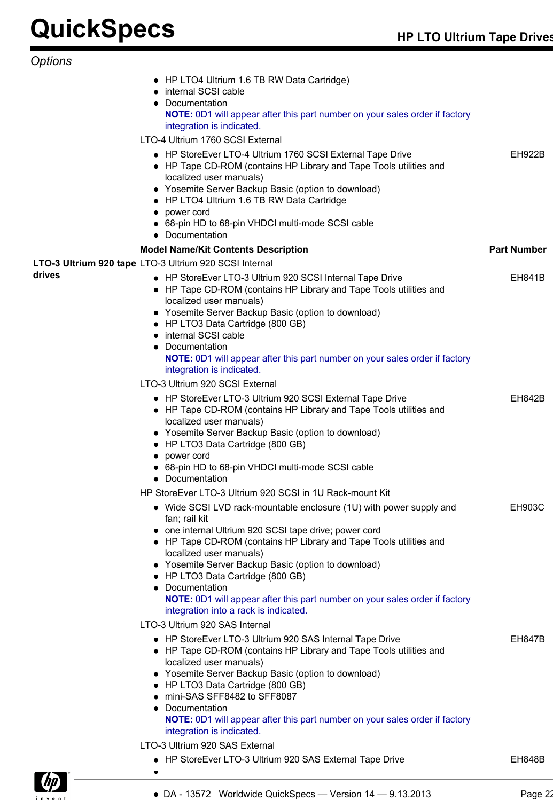| Options |
|---------|
|---------|

|        | • HP LTO4 Ultrium 1.6 TB RW Data Cartridge)<br>• internal SCSI cable<br>Documentation<br>٠<br>NOTE: 0D1 will appear after this part number on your sales order if factory<br>integration is indicated.<br>LTO-4 Ultrium 1760 SCSI External                                                                                                                                                                                                                                       |                    |
|--------|----------------------------------------------------------------------------------------------------------------------------------------------------------------------------------------------------------------------------------------------------------------------------------------------------------------------------------------------------------------------------------------------------------------------------------------------------------------------------------|--------------------|
|        | • HP StoreEver LTO-4 Ultrium 1760 SCSI External Tape Drive<br>• HP Tape CD-ROM (contains HP Library and Tape Tools utilities and<br>localized user manuals)<br>• Yosemite Server Backup Basic (option to download)<br>• HP LTO4 Ultrium 1.6 TB RW Data Cartridge<br>• power cord<br>• 68-pin HD to 68-pin VHDCI multi-mode SCSI cable<br>• Documentation                                                                                                                         | <b>EH922B</b>      |
|        | <b>Model Name/Kit Contents Description</b>                                                                                                                                                                                                                                                                                                                                                                                                                                       | <b>Part Number</b> |
|        | LTO-3 Ultrium 920 tape LTO-3 Ultrium 920 SCSI Internal                                                                                                                                                                                                                                                                                                                                                                                                                           |                    |
| drives | • HP StoreEver LTO-3 Ultrium 920 SCSI Internal Tape Drive<br>• HP Tape CD-ROM (contains HP Library and Tape Tools utilities and<br>localized user manuals)                                                                                                                                                                                                                                                                                                                       | <b>EH841B</b>      |
|        | • Yosemite Server Backup Basic (option to download)<br>• HP LTO3 Data Cartridge (800 GB)<br>internal SCSI cable                                                                                                                                                                                                                                                                                                                                                                  |                    |
|        | Documentation<br><b>NOTE:</b> 0D1 will appear after this part number on your sales order if factory<br>integration is indicated.                                                                                                                                                                                                                                                                                                                                                 |                    |
|        | LTO-3 Ultrium 920 SCSI External                                                                                                                                                                                                                                                                                                                                                                                                                                                  |                    |
|        | • HP StoreEver LTO-3 Ultrium 920 SCSI External Tape Drive<br>• HP Tape CD-ROM (contains HP Library and Tape Tools utilities and<br>localized user manuals)<br>• Yosemite Server Backup Basic (option to download)<br>• HP LTO3 Data Cartridge (800 GB)<br>power cord<br>68-pin HD to 68-pin VHDCI multi-mode SCSI cable                                                                                                                                                          | <b>EH842B</b>      |
|        | • Documentation                                                                                                                                                                                                                                                                                                                                                                                                                                                                  |                    |
|        | HP StoreEver LTO-3 Ultrium 920 SCSI in 1U Rack-mount Kit                                                                                                                                                                                                                                                                                                                                                                                                                         |                    |
|        | Wide SCSI LVD rack-mountable enclosure (1U) with power supply and<br>fan; rail kit<br>one internal Ultrium 920 SCSI tape drive; power cord<br>• HP Tape CD-ROM (contains HP Library and Tape Tools utilities and<br>localized user manuals)<br>• Yosemite Server Backup Basic (option to download)<br>• HP LTO3 Data Cartridge (800 GB)<br>Documentation<br>NOTE: 0D1 will appear after this part number on your sales order if factory<br>integration into a rack is indicated. | <b>EH903C</b>      |
|        | LTO-3 Ultrium 920 SAS Internal                                                                                                                                                                                                                                                                                                                                                                                                                                                   |                    |
|        | • HP StoreEver LTO-3 Ultrium 920 SAS Internal Tape Drive<br>• HP Tape CD-ROM (contains HP Library and Tape Tools utilities and<br>localized user manuals)<br>• Yosemite Server Backup Basic (option to download)<br>• HP LTO3 Data Cartridge (800 GB)<br>mini-SAS SFF8482 to SFF8087<br>Documentation<br>NOTE: 0D1 will appear after this part number on your sales order if factory<br>integration is indicated.                                                                | <b>EH847B</b>      |
|        | LTO-3 Ultrium 920 SAS External                                                                                                                                                                                                                                                                                                                                                                                                                                                   |                    |
|        | • HP StoreEver LTO-3 Ultrium 920 SAS External Tape Drive                                                                                                                                                                                                                                                                                                                                                                                                                         | <b>EH848B</b>      |

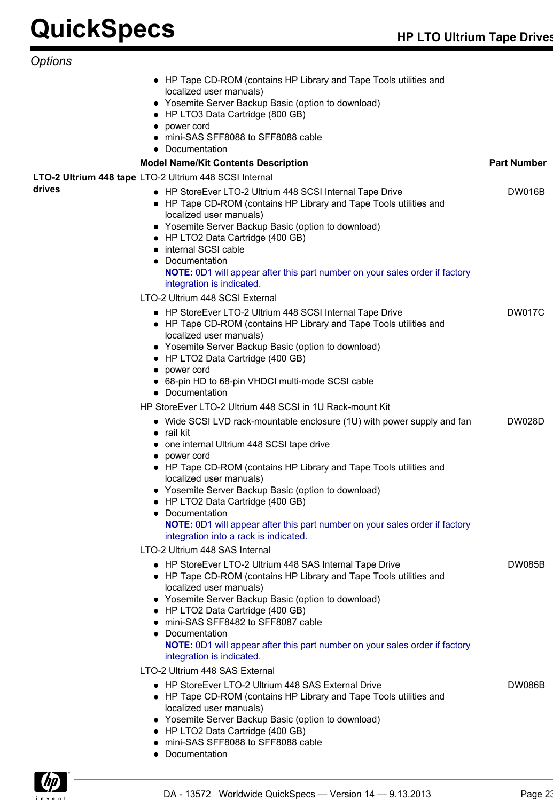*Options*

|                                                        | • HP Tape CD-ROM (contains HP Library and Tape Tools utilities and<br>localized user manuals)<br>• Yosemite Server Backup Basic (option to download)<br>• HP LTO3 Data Cartridge (800 GB)<br>• power cord<br>• mini-SAS SFF8088 to SFF8088 cable<br>• Documentation                                                                                                                                                                                                                               |                    |
|--------------------------------------------------------|---------------------------------------------------------------------------------------------------------------------------------------------------------------------------------------------------------------------------------------------------------------------------------------------------------------------------------------------------------------------------------------------------------------------------------------------------------------------------------------------------|--------------------|
|                                                        | <b>Model Name/Kit Contents Description</b>                                                                                                                                                                                                                                                                                                                                                                                                                                                        | <b>Part Number</b> |
| LTO-2 Ultrium 448 tape LTO-2 Ultrium 448 SCSI Internal |                                                                                                                                                                                                                                                                                                                                                                                                                                                                                                   |                    |
| drives                                                 | • HP StoreEver LTO-2 Ultrium 448 SCSI Internal Tape Drive<br>• HP Tape CD-ROM (contains HP Library and Tape Tools utilities and<br>localized user manuals)<br>• Yosemite Server Backup Basic (option to download)<br>• HP LTO2 Data Cartridge (400 GB)<br>• internal SCSI cable<br>• Documentation<br>NOTE: 0D1 will appear after this part number on your sales order if factory<br>integration is indicated.                                                                                    | <b>DW016B</b>      |
|                                                        | LTO-2 Ultrium 448 SCSI External                                                                                                                                                                                                                                                                                                                                                                                                                                                                   |                    |
|                                                        | • HP StoreEver LTO-2 Ultrium 448 SCSI Internal Tape Drive<br>• HP Tape CD-ROM (contains HP Library and Tape Tools utilities and<br>localized user manuals)<br>• Yosemite Server Backup Basic (option to download)<br>• HP LTO2 Data Cartridge (400 GB)<br>• power cord<br>• 68-pin HD to 68-pin VHDCI multi-mode SCSI cable<br>• Documentation                                                                                                                                                    | <b>DW017C</b>      |
|                                                        | HP StoreEver LTO-2 Ultrium 448 SCSI in 1U Rack-mount Kit                                                                                                                                                                                                                                                                                                                                                                                                                                          |                    |
|                                                        | • Wide SCSI LVD rack-mountable enclosure (1U) with power supply and fan<br>$\bullet$ rail kit<br>• one internal Ultrium 448 SCSI tape drive<br>• power cord<br>• HP Tape CD-ROM (contains HP Library and Tape Tools utilities and<br>localized user manuals)<br>• Yosemite Server Backup Basic (option to download)<br>HP LTO2 Data Cartridge (400 GB)<br>• Documentation<br>NOTE: 0D1 will appear after this part number on your sales order if factory<br>integration into a rack is indicated. | <b>DW028D</b>      |
|                                                        | LTO-2 Ultrium 448 SAS Internal                                                                                                                                                                                                                                                                                                                                                                                                                                                                    |                    |
|                                                        | • HP StoreEver LTO-2 Ultrium 448 SAS Internal Tape Drive<br>• HP Tape CD-ROM (contains HP Library and Tape Tools utilities and<br>localized user manuals)<br>• Yosemite Server Backup Basic (option to download)<br>• HP LTO2 Data Cartridge (400 GB)<br>• mini-SAS SFF8482 to SFF8087 cable<br>• Documentation<br><b>NOTE:</b> 0D1 will appear after this part number on your sales order if factory<br>integration is indicated.                                                                | <b>DW085B</b>      |
|                                                        | LTO-2 Ultrium 448 SAS External                                                                                                                                                                                                                                                                                                                                                                                                                                                                    |                    |
|                                                        | • HP StoreEver LTO-2 Ultrium 448 SAS External Drive<br>• HP Tape CD-ROM (contains HP Library and Tape Tools utilities and<br>localized user manuals)<br>• Yosemite Server Backup Basic (option to download)<br>• HP LTO2 Data Cartridge (400 GB)<br>• mini-SAS SFF8088 to SFF8088 cable<br>• Documentation                                                                                                                                                                                        | DW086B             |

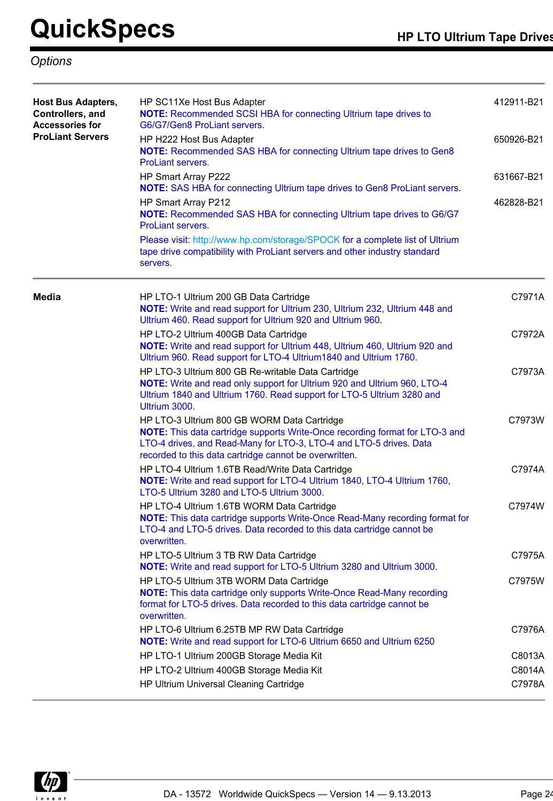## *Options*

| <b>Host Bus Adapters,</b><br>Controllers, and<br><b>Accessories for</b> | HP SC11Xe Host Bus Adapter<br><b>NOTE:</b> Recommended SCSI HBA for connecting Ultrium tape drives to<br>G6/G7/Gen8 ProLiant servers.                                                                                                                        |            |  |  |  |  |
|-------------------------------------------------------------------------|--------------------------------------------------------------------------------------------------------------------------------------------------------------------------------------------------------------------------------------------------------------|------------|--|--|--|--|
| <b>ProLiant Servers</b>                                                 | HP H222 Host Bus Adapter<br><b>NOTE:</b> Recommended SAS HBA for connecting Ultrium tape drives to Gen8<br>ProLiant servers.                                                                                                                                 | 650926-B21 |  |  |  |  |
|                                                                         | HP Smart Array P222<br><b>NOTE:</b> SAS HBA for connecting Ultrium tape drives to Gen8 ProLiant servers.                                                                                                                                                     | 631667-B21 |  |  |  |  |
|                                                                         | HP Smart Array P212<br>NOTE: Recommended SAS HBA for connecting Ultrium tape drives to G6/G7<br>ProLiant servers.                                                                                                                                            | 462828-B21 |  |  |  |  |
|                                                                         | Please visit: http://www.hp.com/storage/SPOCK for a complete list of Ultrium<br>tape drive compatibility with ProLiant servers and other industry standard<br>servers.                                                                                       |            |  |  |  |  |
| <b>Media</b>                                                            | HP LTO-1 Ultrium 200 GB Data Cartridge<br>NOTE: Write and read support for Ultrium 230, Ultrium 232, Ultrium 448 and<br>Ultrium 460. Read support for Ultrium 920 and Ultrium 960.                                                                           | C7971A     |  |  |  |  |
|                                                                         | HP LTO-2 Ultrium 400GB Data Cartridge<br>NOTE: Write and read support for Ultrium 448, Ultrium 460, Ultrium 920 and<br>Ultrium 960. Read support for LTO-4 Ultrium1840 and Ultrium 1760.                                                                     | C7972A     |  |  |  |  |
|                                                                         | HP LTO-3 Ultrium 800 GB Re-writable Data Cartridge<br>NOTE: Write and read only support for Ultrium 920 and Ultrium 960, LTO-4<br>Ultrium 1840 and Ultrium 1760. Read support for LTO-5 Ultrium 3280 and<br>Ultrium 3000.                                    | C7973A     |  |  |  |  |
|                                                                         | HP LTO-3 Ultrium 800 GB WORM Data Cartridge<br>NOTE: This data cartridge supports Write-Once recording format for LTO-3 and<br>LTO-4 drives, and Read-Many for LTO-3, LTO-4 and LTO-5 drives. Data<br>recorded to this data cartridge cannot be overwritten. | C7973W     |  |  |  |  |
|                                                                         | HP LTO-4 Ultrium 1.6TB Read/Write Data Cartridge<br>NOTE: Write and read support for LTO-4 Ultrium 1840, LTO-4 Ultrium 1760,<br>LTO-5 Ultrium 3280 and LTO-5 Ultrium 3000.                                                                                   | C7974A     |  |  |  |  |
|                                                                         | HP LTO-4 Ultrium 1.6TB WORM Data Cartridge<br>NOTE: This data cartridge supports Write-Once Read-Many recording format for<br>LTO-4 and LTO-5 drives. Data recorded to this data cartridge cannot be<br>overwritten.                                         | C7974W     |  |  |  |  |
|                                                                         | HP LTO-5 Ultrium 3 TB RW Data Cartridge<br>NOTE: Write and read support for LTO-5 Ultrium 3280 and Ultrium 3000.                                                                                                                                             | C7975A     |  |  |  |  |
|                                                                         | HP LTO-5 Ultrium 3TB WORM Data Cartridge<br><b>NOTE:</b> This data cartridge only supports Write-Once Read-Many recording<br>format for LTO-5 drives. Data recorded to this data cartridge cannot be<br>overwritten.                                         | C7975W     |  |  |  |  |
|                                                                         | HP LTO-6 Ultrium 6.25TB MP RW Data Cartridge<br>NOTE: Write and read support for LTO-6 Ultrium 6650 and Ultrium 6250                                                                                                                                         | C7976A     |  |  |  |  |
|                                                                         | HP LTO-1 Ultrium 200GB Storage Media Kit                                                                                                                                                                                                                     | C8013A     |  |  |  |  |
|                                                                         | HP LTO-2 Ultrium 400GB Storage Media Kit                                                                                                                                                                                                                     | C8014A     |  |  |  |  |
|                                                                         | HP Ultrium Universal Cleaning Cartridge                                                                                                                                                                                                                      | C7978A     |  |  |  |  |

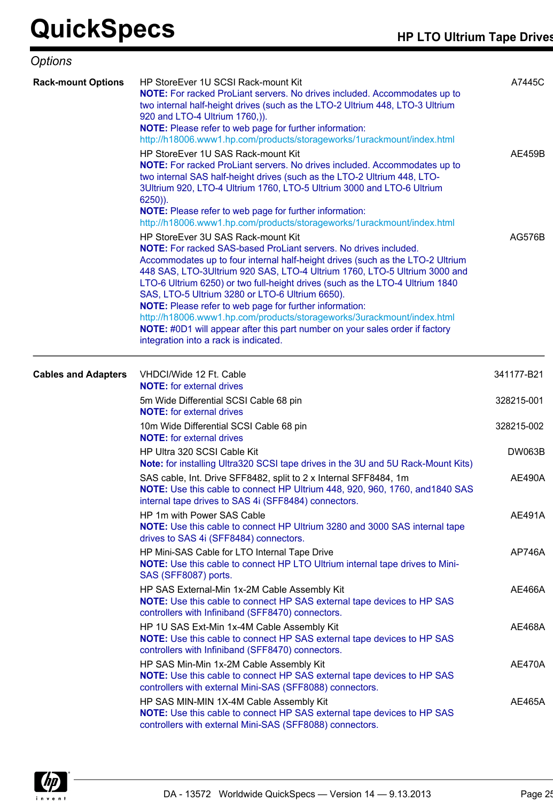| Options                    |                                                                                                                                                                                                                                                                                                                                                                                                                                                                                                                                                                                                                                                                                       |               |
|----------------------------|---------------------------------------------------------------------------------------------------------------------------------------------------------------------------------------------------------------------------------------------------------------------------------------------------------------------------------------------------------------------------------------------------------------------------------------------------------------------------------------------------------------------------------------------------------------------------------------------------------------------------------------------------------------------------------------|---------------|
| <b>Rack-mount Options</b>  | HP StoreEver 1U SCSI Rack-mount Kit<br>NOTE: For racked ProLiant servers. No drives included. Accommodates up to<br>two internal half-height drives (such as the LTO-2 Ultrium 448, LTO-3 Ultrium<br>920 and LTO-4 Ultrium 1760,)).<br><b>NOTE:</b> Please refer to web page for further information:<br>http://h18006.www1.hp.com/products/storageworks/1urackmount/index.html                                                                                                                                                                                                                                                                                                       | A7445C        |
|                            | HP StoreEver 1U SAS Rack-mount Kit<br><b>NOTE:</b> For racked ProLiant servers. No drives included. Accommodates up to<br>two internal SAS half-height drives (such as the LTO-2 Ultrium 448, LTO-<br>3Ultrium 920, LTO-4 Ultrium 1760, LTO-5 Ultrium 3000 and LTO-6 Ultrium<br>$6250$ )).<br>NOTE: Please refer to web page for further information:<br>http://h18006.www1.hp.com/products/storageworks/1urackmount/index.html                                                                                                                                                                                                                                                       | AE459B        |
|                            | HP StoreEver 3U SAS Rack-mount Kit<br><b>NOTE:</b> For racked SAS-based ProLiant servers. No drives included.<br>Accommodates up to four internal half-height drives (such as the LTO-2 Ultrium<br>448 SAS, LTO-3Ultrium 920 SAS, LTO-4 Ultrium 1760, LTO-5 Ultrium 3000 and<br>LTO-6 Ultrium 6250) or two full-height drives (such as the LTO-4 Ultrium 1840<br>SAS, LTO-5 Ultrium 3280 or LTO-6 Ultrium 6650).<br><b>NOTE:</b> Please refer to web page for further information:<br>http://h18006.www1.hp.com/products/storageworks/3urackmount/index.html<br>NOTE: #0D1 will appear after this part number on your sales order if factory<br>integration into a rack is indicated. | AG576B        |
| <b>Cables and Adapters</b> | VHDCI/Wide 12 Ft. Cable<br><b>NOTE:</b> for external drives                                                                                                                                                                                                                                                                                                                                                                                                                                                                                                                                                                                                                           | 341177-B21    |
|                            | 5m Wide Differential SCSI Cable 68 pin<br><b>NOTE:</b> for external drives                                                                                                                                                                                                                                                                                                                                                                                                                                                                                                                                                                                                            | 328215-001    |
|                            | 10m Wide Differential SCSI Cable 68 pin<br><b>NOTE:</b> for external drives                                                                                                                                                                                                                                                                                                                                                                                                                                                                                                                                                                                                           | 328215-002    |
|                            | HP Ultra 320 SCSI Cable Kit<br>Note: for installing Ultra320 SCSI tape drives in the 3U and 5U Rack-Mount Kits)                                                                                                                                                                                                                                                                                                                                                                                                                                                                                                                                                                       | <b>DW063B</b> |
|                            | SAS cable, Int. Drive SFF8482, split to 2 x Internal SFF8484, 1m<br>NOTE: Use this cable to connect HP Ultrium 448, 920, 960, 1760, and 1840 SAS<br>internal tape drives to SAS 4i (SFF8484) connectors.                                                                                                                                                                                                                                                                                                                                                                                                                                                                              | <b>AE490A</b> |
|                            | HP 1m with Power SAS Cable<br>NOTE: Use this cable to connect HP Ultrium 3280 and 3000 SAS internal tape<br>drives to SAS 4i (SFF8484) connectors.                                                                                                                                                                                                                                                                                                                                                                                                                                                                                                                                    | <b>AE491A</b> |
|                            | HP Mini-SAS Cable for LTO Internal Tape Drive<br><b>NOTE:</b> Use this cable to connect HP LTO Ultrium internal tape drives to Mini-<br>SAS (SFF8087) ports.                                                                                                                                                                                                                                                                                                                                                                                                                                                                                                                          | AP746A        |
|                            | HP SAS External-Min 1x-2M Cable Assembly Kit<br><b>NOTE:</b> Use this cable to connect HP SAS external tape devices to HP SAS<br>controllers with Infiniband (SFF8470) connectors.                                                                                                                                                                                                                                                                                                                                                                                                                                                                                                    | AE466A        |
|                            | HP 1U SAS Ext-Min 1x-4M Cable Assembly Kit<br>NOTE: Use this cable to connect HP SAS external tape devices to HP SAS<br>controllers with Infiniband (SFF8470) connectors.                                                                                                                                                                                                                                                                                                                                                                                                                                                                                                             | AE468A        |
|                            | HP SAS Min-Min 1x-2M Cable Assembly Kit<br><b>NOTE:</b> Use this cable to connect HP SAS external tape devices to HP SAS<br>controllers with external Mini-SAS (SFF8088) connectors.                                                                                                                                                                                                                                                                                                                                                                                                                                                                                                  | AE470A        |
|                            | HP SAS MIN-MIN 1X-4M Cable Assembly Kit<br>NOTE: Use this cable to connect HP SAS external tape devices to HP SAS<br>controllers with external Mini-SAS (SFF8088) connectors.                                                                                                                                                                                                                                                                                                                                                                                                                                                                                                         | <b>AE465A</b> |

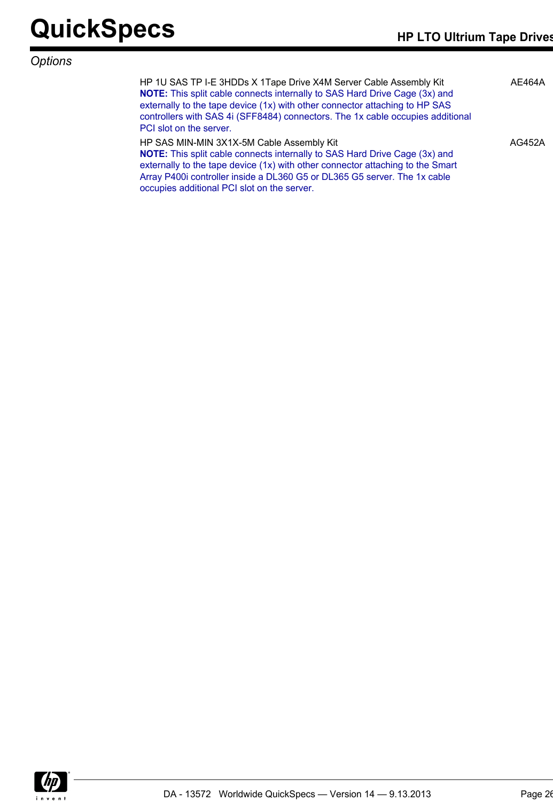## *Options*

HP 1U SAS TP I-E 3HDDs X 1Tape Drive X4M Server Cable Assembly Kit **NOTE:** This split cable connects internally to SAS Hard Drive Cage (3x) and externally to the tape device (1x) with other connector attaching to HP SAS controllers with SAS 4i (SFF8484) connectors. The 1x cable occupies additional PCI slot on the server. AE464A HP SAS MIN-MIN 3X1X-5M Cable Assembly Kit AG452A

| HP SAS MIN-MIN 3X1X-5M Cable Assembly Kit                                         |
|-----------------------------------------------------------------------------------|
| <b>NOTE:</b> This split cable connects internally to SAS Hard Drive Cage (3x) and |
| externally to the tape device (1x) with other connector attaching to the Smart    |
| Array P400i controller inside a DL360 G5 or DL365 G5 server. The 1x cable         |
| occupies additional PCI slot on the server.                                       |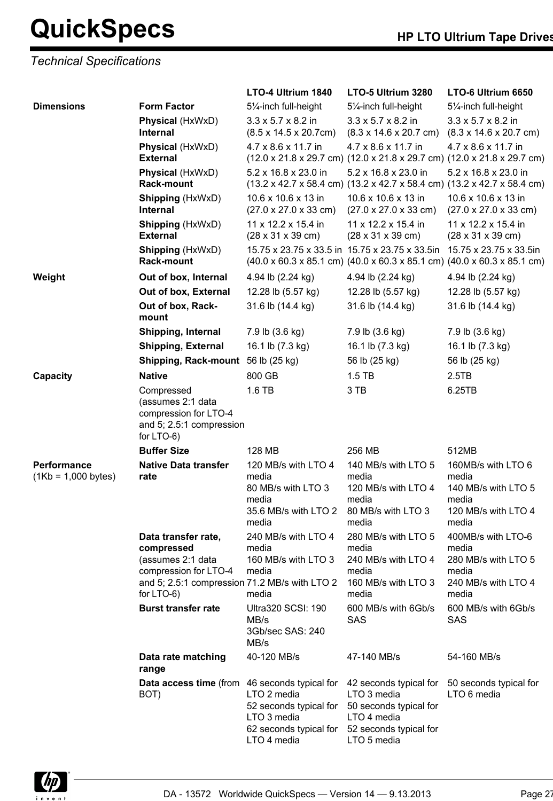## *Technical Specifications*

|                                      |                                                                                                                            | LTO-4 Ultrium 1840                                                                                                      | LTO-5 Ultrium 3280                                                                                                      | LTO-6 Ultrium 6650                                                                                                                                            |
|--------------------------------------|----------------------------------------------------------------------------------------------------------------------------|-------------------------------------------------------------------------------------------------------------------------|-------------------------------------------------------------------------------------------------------------------------|---------------------------------------------------------------------------------------------------------------------------------------------------------------|
| <b>Dimensions</b>                    | <b>Form Factor</b>                                                                                                         | 51/ <sub>4</sub> -inch full-height                                                                                      | 51/ <sub>4</sub> -inch full-height                                                                                      | 51/ <sub>4</sub> -inch full-height                                                                                                                            |
|                                      | Physical (HxWxD)<br><b>Internal</b>                                                                                        | $3.3 \times 5.7 \times 8.2$ in<br>$(8.5 \times 14.5 \times 20.7 \text{cm})$                                             | $3.3 \times 5.7 \times 8.2$ in<br>$(8.3 \times 14.6 \times 20.7 \text{ cm})$                                            | $3.3 \times 5.7 \times 8.2$ in<br>$(8.3 \times 14.6 \times 20.7 \text{ cm})$                                                                                  |
|                                      | Physical (HxWxD)<br><b>External</b>                                                                                        | 4.7 x 8.6 x 11.7 in                                                                                                     | 4.7 x 8.6 x 11.7 in                                                                                                     | 4.7 x 8.6 x 11.7 in<br>$(12.0 \times 21.8 \times 29.7 \text{ cm})$ $(12.0 \times 21.8 \times 29.7 \text{ cm})$ $(12.0 \times 21.8 \times 29.7 \text{ cm})$    |
|                                      | Physical (HxWxD)<br><b>Rack-mount</b>                                                                                      | 5.2 x 16.8 x 23.0 in                                                                                                    | 5.2 x 16.8 x 23.0 in                                                                                                    | 5.2 x 16.8 x 23.0 in<br>$(13.2 \times 42.7 \times 58.4 \text{ cm})$ $(13.2 \times 42.7 \times 58.4 \text{ cm})$ $(13.2 \times 42.7 \times 58.4 \text{ cm})$   |
|                                      | <b>Shipping (HxWxD)</b><br><b>Internal</b>                                                                                 | 10.6 x 10.6 x 13 in<br>$(27.0 \times 27.0 \times 33 \text{ cm})$                                                        | 10.6 x 10.6 x 13 in<br>$(27.0 \times 27.0 \times 33 \text{ cm})$                                                        | 10.6 x 10.6 x 13 in<br>$(27.0 \times 27.0 \times 33 \text{ cm})$                                                                                              |
|                                      | <b>Shipping (HxWxD)</b><br><b>External</b>                                                                                 | 11 x 12.2 x 15.4 in<br>$(28 \times 31 \times 39 \text{ cm})$                                                            | $11 \times 12.2 \times 15.4$ in<br>$(28 \times 31 \times 39 \text{ cm})$                                                | 11 x 12.2 x 15.4 in<br>$(28 \times 31 \times 39 \text{ cm})$                                                                                                  |
|                                      | <b>Shipping (HxWxD)</b><br><b>Rack-mount</b>                                                                               | 15.75 x 23.75 x 33.5 in 15.75 x 23.75 x 33.5in                                                                          |                                                                                                                         | 15.75 x 23.75 x 33.5in<br>$(40.0 \times 60.3 \times 85.1 \text{ cm})$ $(40.0 \times 60.3 \times 85.1 \text{ cm})$ $(40.0 \times 60.3 \times 85.1 \text{ cm})$ |
| Weight                               | Out of box, Internal                                                                                                       | 4.94 lb (2.24 kg)                                                                                                       | 4.94 lb (2.24 kg)                                                                                                       | 4.94 lb (2.24 kg)                                                                                                                                             |
|                                      | Out of box, External                                                                                                       | 12.28 lb (5.57 kg)                                                                                                      | 12.28 lb (5.57 kg)                                                                                                      | 12.28 lb (5.57 kg)                                                                                                                                            |
|                                      | Out of box, Rack-<br>mount                                                                                                 | 31.6 lb (14.4 kg)                                                                                                       | 31.6 lb (14.4 kg)                                                                                                       | 31.6 lb (14.4 kg)                                                                                                                                             |
|                                      | <b>Shipping, Internal</b>                                                                                                  | 7.9 lb (3.6 kg)                                                                                                         | 7.9 lb (3.6 kg)                                                                                                         | 7.9 lb (3.6 kg)                                                                                                                                               |
|                                      | <b>Shipping, External</b>                                                                                                  | 16.1 lb (7.3 kg)                                                                                                        | 16.1 lb (7.3 kg)                                                                                                        | 16.1 lb (7.3 kg)                                                                                                                                              |
|                                      | <b>Shipping, Rack-mount</b>                                                                                                | 56 lb (25 kg)                                                                                                           | 56 lb (25 kg)                                                                                                           | 56 lb (25 kg)                                                                                                                                                 |
| Capacity                             | <b>Native</b>                                                                                                              | 800 GB                                                                                                                  | $1.5$ TB                                                                                                                | 2.5TB                                                                                                                                                         |
|                                      | Compressed<br>(assumes 2:1 data<br>compression for LTO-4<br>and 5; 2.5:1 compression<br>for LTO-6)                         | 1.6 TB                                                                                                                  | 3 TB                                                                                                                    | 6.25TB                                                                                                                                                        |
|                                      | <b>Buffer Size</b>                                                                                                         | 128 MB                                                                                                                  | 256 MB                                                                                                                  | 512MB                                                                                                                                                         |
| Performance<br>$(1Kb = 1,000 bytes)$ | <b>Native Data transfer</b><br>rate                                                                                        | 120 MB/s with LTO 4<br>media<br>80 MB/s with LTO 3<br>media<br>35.6 MB/s with LTO 2<br>media                            | 140 MB/s with LTO 5<br>media<br>120 MB/s with LTO 4<br>media<br>80 MB/s with LTO 3<br>media                             | 160MB/s with LTO 6<br>media<br>140 MB/s with LTO 5<br>media<br>120 MB/s with LTO 4<br>media                                                                   |
|                                      | Data transfer rate,                                                                                                        | 240 MB/s with LTO 4                                                                                                     | 280 MB/s with LTO 5                                                                                                     | 400MB/s with LTO-6                                                                                                                                            |
|                                      | compressed<br>(assumes 2:1 data<br>compression for LTO-4<br>and 5; 2.5:1 compression 71.2 MB/s with LTO 2<br>for $LTO-6$ ) | media<br>160 MB/s with LTO 3<br>media<br>media                                                                          | media<br>240 MB/s with LTO 4<br>media<br>160 MB/s with LTO 3<br>media                                                   | media<br>280 MB/s with LTO 5<br>media<br>240 MB/s with LTO 4<br>media                                                                                         |
|                                      | <b>Burst transfer rate</b>                                                                                                 | <b>Ultra320 SCSI: 190</b><br>MB/s<br>3Gb/sec SAS: 240<br>MB/s                                                           | 600 MB/s with 6Gb/s<br>SAS                                                                                              | 600 MB/s with 6Gb/s<br>SAS                                                                                                                                    |
|                                      | Data rate matching<br>range                                                                                                | 40-120 MB/s                                                                                                             | 47-140 MB/s                                                                                                             | 54-160 MB/s                                                                                                                                                   |
|                                      | Data access time (from<br>BOT)                                                                                             | 46 seconds typical for<br>LTO 2 media<br>52 seconds typical for<br>LTO 3 media<br>62 seconds typical for<br>LTO 4 media | 42 seconds typical for<br>LTO 3 media<br>50 seconds typical for<br>LTO 4 media<br>52 seconds typical for<br>LTO 5 media | 50 seconds typical for<br>LTO 6 media                                                                                                                         |

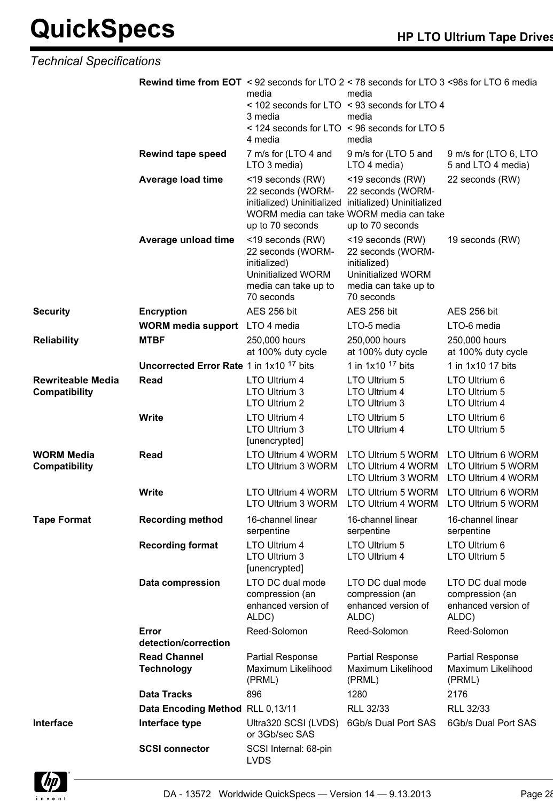### *Technical Specifications*

|                                                  | <b>Rewind time from EOT</b> < 92 seconds for LTO 2 < 78 seconds for LTO 3 <98s for LTO 6 media | media<br>3 media<br>4 media                                                                                        | media<br>< 102 seconds for LTO < 93 seconds for LTO 4<br>media<br>< 124 seconds for LTO < 96 seconds for LTO 5<br>media |                                                                     |
|--------------------------------------------------|------------------------------------------------------------------------------------------------|--------------------------------------------------------------------------------------------------------------------|-------------------------------------------------------------------------------------------------------------------------|---------------------------------------------------------------------|
|                                                  | <b>Rewind tape speed</b>                                                                       | 7 m/s for (LTO 4 and<br>LTO 3 media)                                                                               | 9 m/s for (LTO 5 and<br>LTO 4 media)                                                                                    | 9 m/s for (LTO 6, LTO<br>5 and LTO 4 media)                         |
|                                                  | <b>Average load time</b>                                                                       | <19 seconds (RW)<br>22 seconds (WORM-<br>initialized) Uninitialized initialized) Uninitialized<br>up to 70 seconds | <19 seconds (RW)<br>22 seconds (WORM-<br>WORM media can take WORM media can take<br>up to 70 seconds                    | 22 seconds (RW)                                                     |
|                                                  | Average unload time                                                                            | <19 seconds (RW)<br>22 seconds (WORM-<br>initialized)<br>Uninitialized WORM<br>media can take up to<br>70 seconds  | <19 seconds (RW)<br>22 seconds (WORM-<br>initialized)<br>Uninitialized WORM<br>media can take up to<br>70 seconds       | 19 seconds (RW)                                                     |
| <b>Security</b>                                  | <b>Encryption</b>                                                                              | <b>AES 256 bit</b>                                                                                                 | AES 256 bit                                                                                                             | AES 256 bit                                                         |
|                                                  | <b>WORM media support</b> LTO 4 media                                                          |                                                                                                                    | LTO-5 media                                                                                                             | LTO-6 media                                                         |
| <b>Reliability</b>                               | <b>MTBF</b>                                                                                    | 250,000 hours<br>at 100% duty cycle                                                                                | 250,000 hours<br>at 100% duty cycle                                                                                     | 250,000 hours<br>at 100% duty cycle                                 |
|                                                  | Uncorrected Error Rate 1 in 1x10 <sup>17</sup> bits                                            |                                                                                                                    | 1 in $1x10$ <sup>17</sup> bits                                                                                          | 1 in 1x10 17 bits                                                   |
| <b>Rewriteable Media</b><br><b>Compatibility</b> | Read                                                                                           | LTO Ultrium 4<br>LTO Ultrium 3<br>LTO Ultrium 2                                                                    | LTO Ultrium 5<br>LTO Ultrium 4<br>LTO Ultrium 3                                                                         | LTO Ultrium 6<br>LTO Ultrium 5<br>LTO Ultrium 4                     |
|                                                  | <b>Write</b>                                                                                   | LTO Ultrium 4<br>LTO Ultrium 3<br>[unencrypted]                                                                    | LTO Ultrium 5<br>LTO Ultrium 4                                                                                          | LTO Ultrium 6<br>LTO Ultrium 5                                      |
| <b>WORM Media</b><br>Compatibility               | <b>Read</b>                                                                                    | LTO Ultrium 4 WORM<br>LTO Ultrium 3 WORM                                                                           | LTO Ultrium 5 WORM<br>LTO Ultrium 4 WORM LTO Ultrium 5 WORM<br>LTO Ultrium 3 WORM                                       | LTO Ultrium 6 WORM<br>LTO Ultrium 4 WORM                            |
|                                                  | <b>Write</b>                                                                                   | LTO Ultrium 4 WORM<br>LTO Ultrium 3 WORM LTO Ultrium 4 WORM                                                        | LTO Ultrium 5 WORM                                                                                                      | LTO Ultrium 6 WORM<br>LTO Ultrium 5 WORM                            |
| <b>Tape Format</b>                               | <b>Recording method</b>                                                                        | 16-channel linear<br>serpentine                                                                                    | 16-channel linear<br>serpentine                                                                                         | 16-channel linear<br>serpentine                                     |
|                                                  | <b>Recording format</b>                                                                        | <b>LTO Ultrium 4</b><br>LTO Ultrium 3<br>[unencrypted]                                                             | LTO Ultrium 5<br>LTO Ultrium 4                                                                                          | LTO Ultrium 6<br>LTO Ultrium 5                                      |
|                                                  | Data compression                                                                               | LTO DC dual mode<br>compression (an<br>enhanced version of<br>ALDC)                                                | LTO DC dual mode<br>compression (an<br>enhanced version of<br>ALDC)                                                     | LTO DC dual mode<br>compression (an<br>enhanced version of<br>ALDC) |
|                                                  | Error<br>detection/correction                                                                  | Reed-Solomon                                                                                                       | Reed-Solomon                                                                                                            | Reed-Solomon                                                        |
|                                                  | <b>Read Channel</b><br><b>Technology</b>                                                       | Partial Response<br>Maximum Likelihood<br>(PRML)                                                                   | Partial Response<br>Maximum Likelihood<br>(PRML)                                                                        | Partial Response<br>Maximum Likelihood<br>(PRML)                    |
|                                                  | <b>Data Tracks</b>                                                                             | 896                                                                                                                | 1280                                                                                                                    | 2176                                                                |
|                                                  | Data Encoding Method RLL 0,13/11                                                               |                                                                                                                    | RLL 32/33                                                                                                               | RLL 32/33                                                           |
| Interface                                        | Interface type                                                                                 | Ultra320 SCSI (LVDS)<br>or 3Gb/sec SAS                                                                             | 6Gb/s Dual Port SAS                                                                                                     | 6Gb/s Dual Port SAS                                                 |
|                                                  | <b>SCSI connector</b>                                                                          | SCSI Internal: 68-pin<br><b>LVDS</b>                                                                               |                                                                                                                         |                                                                     |

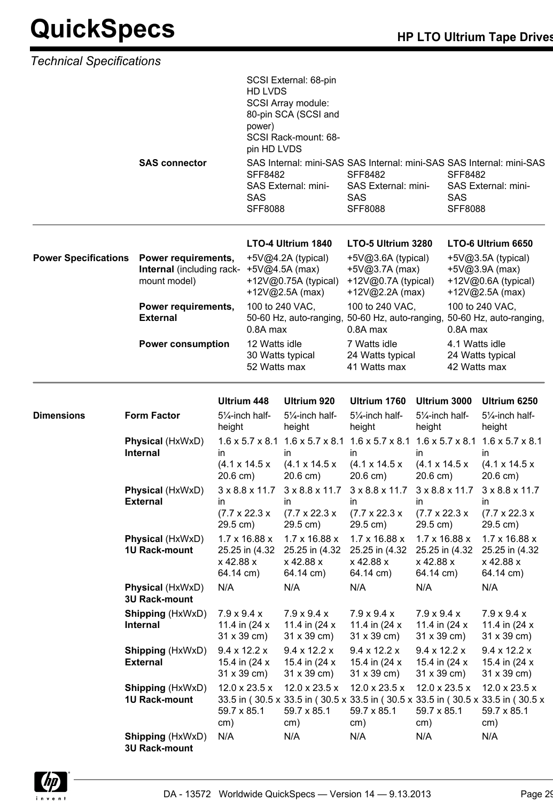| <b>Technical Specifications</b> |                                                 |                                                                                                                                         |                                                           |                                                                                                                                                 |                                                                                                             |                                                                                                                                                            |                                                                                                                                               |                                                                                                                                                      |  |
|---------------------------------|-------------------------------------------------|-----------------------------------------------------------------------------------------------------------------------------------------|-----------------------------------------------------------|-------------------------------------------------------------------------------------------------------------------------------------------------|-------------------------------------------------------------------------------------------------------------|------------------------------------------------------------------------------------------------------------------------------------------------------------|-----------------------------------------------------------------------------------------------------------------------------------------------|------------------------------------------------------------------------------------------------------------------------------------------------------|--|
|                                 |                                                 |                                                                                                                                         | <b>HD LVDS</b><br>power)<br>pin HD LVDS                   | SCSI External: 68-pin<br>SCSI Array module:<br>80-pin SCA (SCSI and<br>SCSI Rack-mount: 68-                                                     |                                                                                                             |                                                                                                                                                            |                                                                                                                                               |                                                                                                                                                      |  |
|                                 | <b>SAS connector</b>                            | <b>SAS</b><br>Power requirements,<br>Internal (including rack- +5V@4.5A (max)<br>mount model)<br>Power requirements,<br><b>External</b> |                                                           | <b>SFF8482</b><br>SAS External: mini-<br><b>SFF8088</b>                                                                                         | <b>SFF8482</b><br>SAS External: mini-<br><b>SAS</b><br><b>SFF8088</b>                                       |                                                                                                                                                            | SAS Internal: mini-SAS SAS Internal: mini-SAS SAS Internal: mini-SAS<br><b>SFF8482</b><br>SAS External: mini-<br><b>SAS</b><br><b>SFF8088</b> |                                                                                                                                                      |  |
| <b>Power Specifications</b>     |                                                 |                                                                                                                                         |                                                           | LTO-4 Ultrium 1840<br>$+5\sqrt{0}4.2A$ (typical)<br>+12 $V@0.75A$ (typical)<br>+12 $V@2.5A$ (max)<br>100 to 240 VAC,<br>50-60 Hz, auto-ranging, |                                                                                                             | LTO-5 Ultrium 3280<br>$+5\sqrt{0}3.6A$ (typical)<br>+5V@3.7A (max)<br>+12V@0.7A (typical)<br>+12V@2.2A (max)<br>100 to 240 VAC,<br>50-60 Hz, auto-ranging, |                                                                                                                                               | LTO-6 Ultrium 6650<br>+5V@3.5A (typical)<br>$+5V@3.9A$ (max)<br>+12V@0.6A (typical)<br>+12V@2.5A (max)<br>100 to 240 VAC,<br>50-60 Hz, auto-ranging, |  |
| <b>Power consumption</b>        |                                                 | 0.8A max<br>12 Watts idle<br>52 Watts max                                                                                               |                                                           | 0.8A max<br>7 Watts idle<br>30 Watts typical<br>24 Watts typical<br>41 Watts max                                                                |                                                                                                             | 0.8A max<br>4.1 Watts idle<br>42 Watts max                                                                                                                 |                                                                                                                                               | 24 Watts typical                                                                                                                                     |  |
|                                 |                                                 |                                                                                                                                         | Ultrium 448                                               | Ultrium 920                                                                                                                                     | Ultrium 1760                                                                                                | Ultrium 3000                                                                                                                                               |                                                                                                                                               | Ultrium 6250                                                                                                                                         |  |
| <b>Dimensions</b>               | <b>Form Factor</b>                              | height                                                                                                                                  | 51/ <sub>4</sub> -inch half-                              | 51/ <sub>4</sub> -inch half-<br>height                                                                                                          | 51/ <sub>4</sub> -inch half-<br>height                                                                      | 51/ <sub>4</sub> -inch half-<br>height                                                                                                                     |                                                                                                                                               | 51/ <sub>4</sub> -inch half-<br>height                                                                                                               |  |
|                                 | Physical (HxWxD)<br>Internal                    | in<br>20.6 cm)                                                                                                                          | $(4.1 \times 14.5 \times$                                 | in<br>$(4.1 \times 14.5 \times$<br>20.6 cm)                                                                                                     | $1.6 \times 5.7 \times 8.1$ 1.6 x 5.7 x 8.1 1.6 x 5.7 x 8.1<br>in.<br>$(4.1 \times 14.5 \times$<br>20.6 cm) | in.<br>$(4.1 \times 14.5 \times$<br>20.6 cm)                                                                                                               |                                                                                                                                               | $1.6 \times 5.7 \times 8.1$ 1.6 $\times$ 5.7 $\times$ 8.1<br>in<br>$(4.1 \times 14.5 \times$<br>20.6 cm)                                             |  |
|                                 | Physical (HxWxD)<br><b>External</b>             | in.<br>29.5 cm)                                                                                                                         | $3 \times 8.8 \times 11.7$<br>$(7.7 \times 22.3 \times$   | $3 \times 8.8 \times 11.7$<br>in<br>$(7.7 \times 22.3 \times$<br>29.5 cm)                                                                       | $3 \times 8.8 \times 11.7$<br>in<br>$(7.7 \times 22.3 \times$<br>29.5 cm)                                   | in.<br>$(7.7 \times 22.3 \times$<br>29.5 cm)                                                                                                               | $3 \times 8.8 \times 11.7$                                                                                                                    | 3 x 8.8 x 11.7<br>in.<br>$(7.7 \times 22.3 \times$<br>29.5 cm)                                                                                       |  |
|                                 | Physical (HxWxD)<br><b>1U Rack-mount</b>        | x 42.88 x<br>64.14 cm)                                                                                                                  | $1.7 \times 16.88 \times$<br>25.25 in (4.32               | $1.7 \times 16.88 \times$<br>25.25 in (4.32<br>x 42.88 x<br>64.14 cm)                                                                           | $1.7 \times 16.88 \times$<br>25.25 in (4.32<br>x 42.88 x<br>64.14 cm)                                       | $1.7 \times 16.88 \times$<br>x 42.88 x<br>64.14 cm)                                                                                                        | 25.25 in (4.32                                                                                                                                | $1.7 \times 16.88 \times$<br>25.25 in (4.32<br>x 42.88 x<br>64.14 cm)                                                                                |  |
|                                 | Physical (HxWxD)<br><b>3U Rack-mount</b>        | N/A                                                                                                                                     |                                                           | N/A                                                                                                                                             | N/A                                                                                                         | N/A                                                                                                                                                        |                                                                                                                                               | N/A                                                                                                                                                  |  |
|                                 | <b>Shipping (HxWxD)</b><br><b>Internal</b>      | $7.9 \times 9.4 \times$                                                                                                                 | 11.4 in (24 x)<br>$31 \times 39$ cm)                      | $7.9 \times 9.4 \times$<br>11.4 in $(24 x)$<br>$31 \times 39$ cm)                                                                               | $7.9 \times 9.4 \times$<br>11.4 in (24 x)<br>31 x 39 cm)                                                    | $7.9 \times 9.4 \times$<br>11.4 in (24 x)<br>$31 \times 39$ cm)                                                                                            |                                                                                                                                               | $7.9 \times 9.4 \times$<br>11.4 in (24 x)<br>31 x 39 cm)                                                                                             |  |
|                                 | Shipping (HxWxD)<br><b>External</b>             |                                                                                                                                         | $9.4 \times 12.2 \times$<br>15.4 in (24 x)<br>31 x 39 cm) | $9.4 \times 12.2 \times$<br>15.4 in (24 x)<br>31 x 39 cm)                                                                                       | $9.4 \times 12.2 \times$<br>15.4 in (24 x)<br>31 x 39 cm)                                                   | $9.4 \times 12.2 \times$<br>15.4 in (24 x)<br>$31 \times 39$ cm)                                                                                           |                                                                                                                                               | $9.4 \times 12.2 \times$<br>15.4 in (24 x)<br>$31 \times 39$ cm)                                                                                     |  |
|                                 | <b>Shipping (HxWxD)</b><br><b>1U Rack-mount</b> | 59.7 x 85.1<br>cm)                                                                                                                      | 12.0 x 23.5 x                                             | 12.0 x 23.5 x<br>59.7 x 85.1<br>cm)                                                                                                             | 12.0 x 23.5 x<br>59.7 x 85.1<br>cm)                                                                         | $12.0 \times 23.5 \times$<br>59.7 x 85.1<br>cm)                                                                                                            |                                                                                                                                               | 12.0 x 23.5 x<br>33.5 in (30.5 x 33.5 in (30.5 x 33.5 in (30.5 x 33.5 in (30.5 x 33.5 in (30.5 x<br>59.7 x 85.1<br>cm)                               |  |
|                                 | <b>Shipping (HxWxD)</b><br><b>3U Rack-mount</b> | N/A                                                                                                                                     |                                                           | N/A                                                                                                                                             | N/A                                                                                                         | N/A                                                                                                                                                        |                                                                                                                                               | N/A                                                                                                                                                  |  |

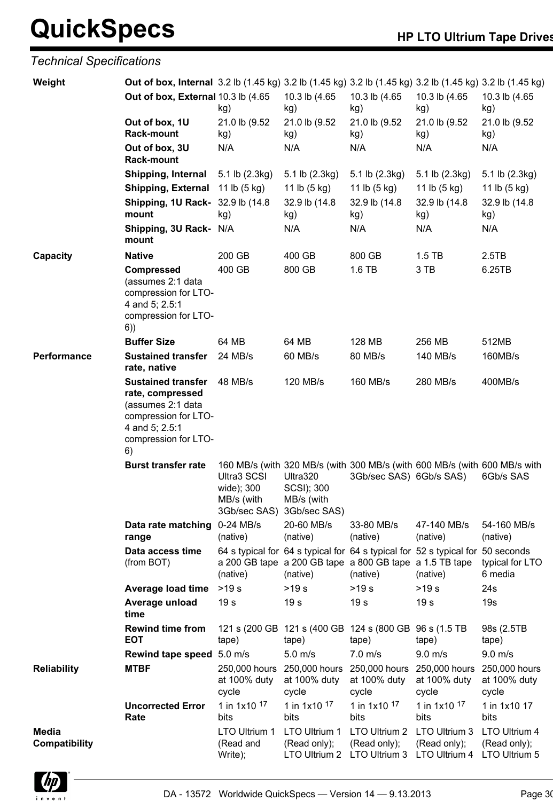## *Technical Specifications*

| Weight                        | <b>Out of box, Internal</b> 3.2 lb (1.45 kg) 3.2 lb (1.45 kg) 3.2 lb (1.45 kg) 3.2 lb (1.45 kg) 3.2 lb (1.45 kg)                           |                                         |                                                                   |                                                                                                                                                       |                                        |                                                |
|-------------------------------|--------------------------------------------------------------------------------------------------------------------------------------------|-----------------------------------------|-------------------------------------------------------------------|-------------------------------------------------------------------------------------------------------------------------------------------------------|----------------------------------------|------------------------------------------------|
|                               | Out of box, External 10.3 lb (4.65                                                                                                         | kg)                                     | 10.3 lb (4.65<br>kg)                                              | 10.3 lb (4.65<br>kg)                                                                                                                                  | 10.3 lb (4.65<br>kg)                   | 10.3 lb (4.65<br>kg)                           |
|                               | Out of box, 1U<br><b>Rack-mount</b>                                                                                                        | 21.0 lb (9.52<br>kg)                    | 21.0 lb (9.52<br>kg)                                              | 21.0 lb (9.52<br>kg)                                                                                                                                  | 21.0 lb (9.52<br>kg)                   | 21.0 lb (9.52<br>kg)                           |
|                               | Out of box, 3U<br><b>Rack-mount</b>                                                                                                        | N/A                                     | N/A                                                               | N/A                                                                                                                                                   | N/A                                    | N/A                                            |
|                               | Shipping, Internal                                                                                                                         | 5.1 lb (2.3kg)                          | 5.1 lb (2.3kg)                                                    | 5.1 lb (2.3kg)                                                                                                                                        | 5.1 lb (2.3kg)                         | 5.1 lb (2.3kg)                                 |
|                               | Shipping, External 11 lb (5 kg)                                                                                                            |                                         | 11 lb (5 kg)                                                      | 11 lb (5 kg)                                                                                                                                          | 11 lb (5 kg)                           | 11 lb (5 kg)                                   |
|                               | <b>Shipping, 1U Rack-</b> 32.9 lb (14.8)<br>mount                                                                                          | kg)                                     | 32.9 lb (14.8)<br>kg)                                             | 32.9 lb (14.8)<br>kg)                                                                                                                                 | 32.9 lb (14.8)<br>kg)                  | 32.9 lb (14.8)<br>kg)                          |
|                               | Shipping, 3U Rack- N/A<br>mount                                                                                                            |                                         | N/A                                                               | N/A                                                                                                                                                   | N/A                                    | N/A                                            |
| Capacity                      | <b>Native</b>                                                                                                                              | 200 GB                                  | 400 GB                                                            | 800 GB                                                                                                                                                | $1.5$ TB                               | 2.5TB                                          |
|                               | <b>Compressed</b><br>(assumes 2:1 data<br>compression for LTO-<br>4 and 5; 2.5:1<br>compression for LTO-<br>6)                             | 400 GB                                  | 800 GB                                                            | 1.6 TB                                                                                                                                                | 3 TB                                   | 6.25TB                                         |
|                               | <b>Buffer Size</b>                                                                                                                         | 64 MB                                   | 64 MB                                                             | 128 MB                                                                                                                                                | 256 MB                                 | 512MB                                          |
| Performance                   | <b>Sustained transfer</b><br>rate, native                                                                                                  | 24 MB/s                                 | 60 MB/s                                                           | 80 MB/s                                                                                                                                               | 140 MB/s                               | 160MB/s                                        |
|                               | <b>Sustained transfer</b><br>rate, compressed<br>(assumes 2:1 data<br>compression for LTO-<br>4 and 5; 2.5:1<br>compression for LTO-<br>6) | 48 MB/s                                 | 120 MB/s                                                          | 160 MB/s                                                                                                                                              | 280 MB/s                               | 400MB/s                                        |
|                               | <b>Burst transfer rate</b>                                                                                                                 | Ultra3 SCSI<br>wide); 300<br>MB/s (with | Ultra320<br>SCSI); 300<br>MB/s (with<br>3Gb/sec SAS) 3Gb/sec SAS) | 160 MB/s (with 320 MB/s (with 300 MB/s (with 600 MB/s (with 600 MB/s with<br>3Gb/sec SAS) 6Gb/s SAS)                                                  |                                        | 6Gb/s SAS                                      |
|                               | Data rate matching 0-24 MB/s<br>range                                                                                                      | (native)                                | 20-60 MB/s<br>(native)                                            | 33-80 MB/s<br>(native)                                                                                                                                | 47-140 MB/s<br>(native)                | 54-160 MB/s<br>(native)                        |
|                               | Data access time<br>(from BOT)                                                                                                             | (native)                                | (native)                                                          | 64 s typical for 64 s typical for 64 s typical for 52 s typical for 50 seconds<br>a 200 GB tape a 200 GB tape a 800 GB tape a 1.5 TB tape<br>(native) | (native)                               | typical for LTO<br>6 media                     |
|                               | <b>Average load time</b>                                                                                                                   | >19 s                                   | >19 s                                                             | $>19 s$                                                                                                                                               | >19 s                                  | 24s                                            |
|                               | Average unload<br>time                                                                                                                     | 19 <sub>s</sub>                         | 19 <sub>s</sub>                                                   | 19 <sub>s</sub>                                                                                                                                       | 19 <sub>s</sub>                        | 19s                                            |
|                               | <b>Rewind time from</b><br><b>EOT</b>                                                                                                      | tape)                                   | tape)                                                             | 121 s (200 GB 121 s (400 GB 124 s (800 GB 96 s (1.5 TB<br>tape)                                                                                       | tape)                                  | 98s (2.5TB)<br>tape)                           |
|                               | Rewind tape speed 5.0 m/s                                                                                                                  |                                         | $5.0 \; \text{m/s}$                                               | $7.0 \text{ m/s}$                                                                                                                                     | $9.0$ m/s                              | $9.0$ m/s                                      |
| <b>Reliability</b>            | <b>MTBF</b>                                                                                                                                | 250,000 hours<br>at 100% duty<br>cycle  | 250,000 hours<br>at 100% duty<br>cycle                            | 250,000 hours<br>at 100% duty<br>cycle                                                                                                                | 250,000 hours<br>at 100% duty<br>cycle | 250,000 hours<br>at 100% duty<br>cycle         |
|                               | <b>Uncorrected Error</b><br>Rate                                                                                                           | 1 in 1x10 17<br>bits                    | 1 in 1x10 17<br>bits                                              | 1 in 1x10 17<br>bits                                                                                                                                  | 1 in 1x10 17<br>bits                   | 1 in 1x10 17<br>bits                           |
| Media<br><b>Compatibility</b> |                                                                                                                                            | LTO Ultrium 1<br>(Read and<br>Write);   | LTO Ultrium 1<br>(Read only);<br>LTO Ultrium 2                    | LTO Ultrium 2<br>(Read only);<br>LTO Ultrium 3 LTO Ultrium 4                                                                                          | LTO Ultrium 3<br>(Read only);          | LTO Ultrium 4<br>(Read only);<br>LTO Ultrium 5 |

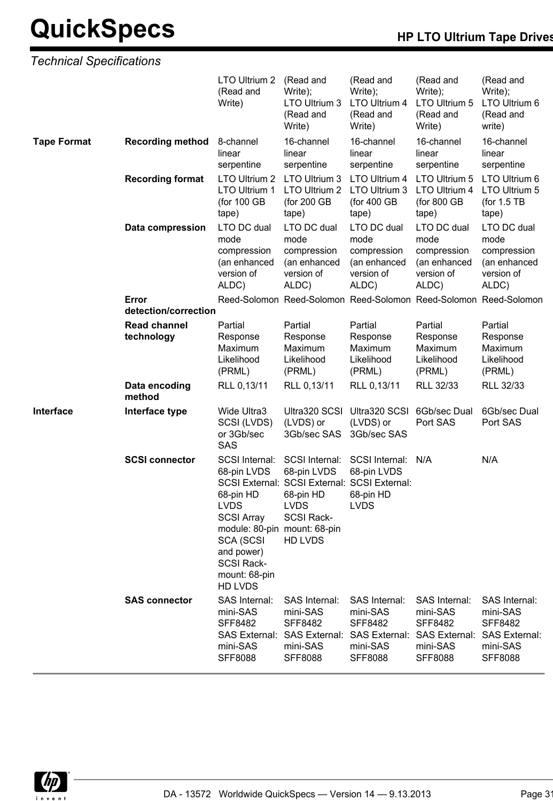*Technical Specifications*

|                    |                                   | LTO Ultrium 2<br>(Read and<br>Write)                                                                                                                                                                     | (Read and<br>Write);<br>LTO Ultrium 3<br>(Read and<br>Write)                                                                              | (Read and<br>Write);<br>LTO Ultrium 4<br>(Read and<br>Write)              | (Read and<br>Write);<br>LTO Ultrium 5<br>(Read and<br>Write)                                      | (Read and<br>Write);<br>LTO Ultrium 6<br>(Read and<br>write)                                      |
|--------------------|-----------------------------------|----------------------------------------------------------------------------------------------------------------------------------------------------------------------------------------------------------|-------------------------------------------------------------------------------------------------------------------------------------------|---------------------------------------------------------------------------|---------------------------------------------------------------------------------------------------|---------------------------------------------------------------------------------------------------|
| <b>Tape Format</b> | <b>Recording method</b>           | 8-channel<br>linear<br>serpentine                                                                                                                                                                        | 16-channel<br>linear<br>serpentine                                                                                                        | 16-channel<br>linear<br>serpentine                                        | 16-channel<br>linear<br>serpentine                                                                | 16-channel<br>linear<br>serpentine                                                                |
|                    | <b>Recording format</b>           | LTO Ultrium 2<br>LTO Ultrium 1<br>(for 100 GB<br>tape)                                                                                                                                                   | LTO Ultrium 3<br>LTO Ultrium 2<br>(for 200 GB<br>tape)                                                                                    | LTO Ultrium 4<br>LTO Ultrium 3<br>(for 400 GB<br>tape)                    | LTO Ultrium 5<br>LTO Ultrium 4<br>(for 800 GB<br>tape)                                            | LTO Ultrium 6<br>LTO Ultrium 5<br>(for 1.5 TB<br>tape)                                            |
|                    | Data compression                  | LTO DC dual<br>mode<br>compression<br>(an enhanced<br>version of<br>ALDC)                                                                                                                                | LTO DC dual<br>mode<br>compression<br>(an enhanced<br>version of<br>ALDC)                                                                 | LTO DC dual<br>mode<br>compression<br>(an enhanced<br>version of<br>ALDC) | LTO DC dual<br>mode<br>compression<br>(an enhanced<br>version of<br>ALDC)                         | LTO DC dual<br>mode<br>compression<br>(an enhanced<br>version of<br>ALDC)                         |
|                    | Error<br>detection/correction     |                                                                                                                                                                                                          | Reed-Solomon Reed-Solomon Reed-Solomon Reed-Solomon Reed-Solomon                                                                          |                                                                           |                                                                                                   |                                                                                                   |
|                    | <b>Read channel</b><br>technology | Partial<br>Response<br>Maximum<br>Likelihood<br>(PRML)                                                                                                                                                   | Partial<br>Response<br>Maximum<br>Likelihood<br>(PRML)                                                                                    | Partial<br>Response<br>Maximum<br>Likelihood<br>(PRML)                    | Partial<br>Response<br>Maximum<br>Likelihood<br>(PRML)                                            | Partial<br>Response<br>Maximum<br>Likelihood<br>(PRML)                                            |
|                    | Data encoding<br>method           | RLL 0,13/11                                                                                                                                                                                              | RLL 0,13/11                                                                                                                               | RLL 0,13/11                                                               | RLL 32/33                                                                                         | RLL 32/33                                                                                         |
| Interface          | Interface type                    | Wide Ultra3<br>SCSI (LVDS)<br>or 3Gb/sec<br><b>SAS</b>                                                                                                                                                   | Ultra320 SCSI<br>(LVDS) or<br>3Gb/sec SAS                                                                                                 | Ultra320 SCSI<br>(LVDS) or<br>3Gb/sec SAS                                 | 6Gb/sec Dual<br>Port SAS                                                                          | 6Gb/sec Dual<br>Port SAS                                                                          |
|                    | <b>SCSI connector</b>             | SCSI Internal:<br>68-pin LVDS<br>68-pin HD<br><b>LVDS</b><br><b>SCSI Array</b><br>module: 80-pin mount: 68-pin<br><b>SCA (SCSI</b><br>and power)<br><b>SCSI Rack-</b><br>mount: 68-pin<br><b>HD LVDS</b> | SCSI Internal:<br>68-pin LVDS<br>SCSI External: SCSI External: SCSI External:<br>68-pin HD<br><b>LVDS</b><br><b>SCSI Rack-</b><br>HD LVDS | SCSI Internal:<br>68-pin LVDS<br>68-pin HD<br><b>LVDS</b>                 | N/A                                                                                               | N/A                                                                                               |
|                    | <b>SAS connector</b>              | SAS Internal:<br>mini-SAS<br><b>SFF8482</b><br><b>SAS External:</b><br>mini-SAS<br><b>SFF8088</b>                                                                                                        | <b>SAS Internal:</b><br>mini-SAS<br><b>SFF8482</b><br>SAS External: SAS External:<br>mini-SAS<br><b>SFF8088</b>                           | SAS Internal:<br>mini-SAS<br><b>SFF8482</b><br>mini-SAS<br><b>SFF8088</b> | SAS Internal:<br>mini-SAS<br><b>SFF8482</b><br><b>SAS External:</b><br>mini-SAS<br><b>SFF8088</b> | SAS Internal:<br>mini-SAS<br><b>SFF8482</b><br><b>SAS External:</b><br>mini-SAS<br><b>SFF8088</b> |

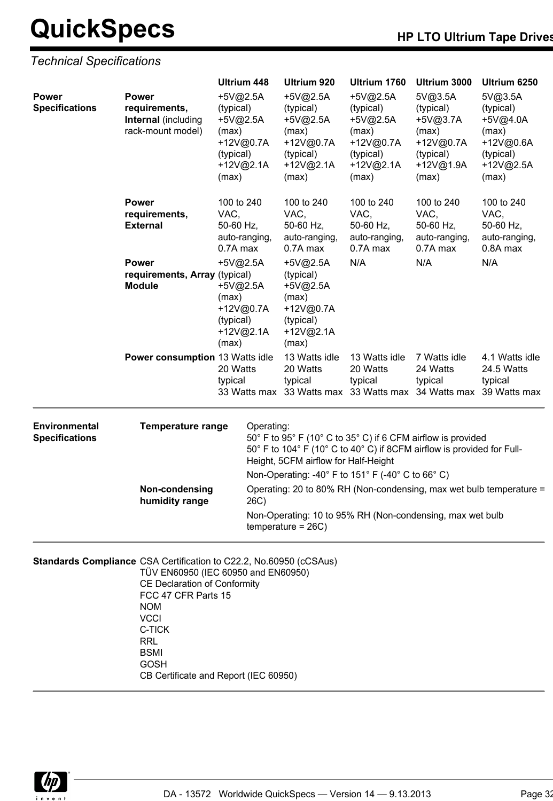### *Technical Specifications*

|                                        |                                                                           | Ultrium 448                                                                                                                                                                                  | Ultrium 920                                                                                  | Ultrium 1760                                                                               | Ultrium 3000                                                                                | Ultrium 6250                                                                              |
|----------------------------------------|---------------------------------------------------------------------------|----------------------------------------------------------------------------------------------------------------------------------------------------------------------------------------------|----------------------------------------------------------------------------------------------|--------------------------------------------------------------------------------------------|---------------------------------------------------------------------------------------------|-------------------------------------------------------------------------------------------|
| <b>Power</b><br><b>Specifications</b>  | <b>Power</b><br>requirements,<br>Internal (including<br>rack-mount model) | +5V@2.5A<br>(typical)<br>+5V@2.5A<br>(max)<br>+12V@0.7A<br>(typical)<br>+12V@2.1A<br>(max)                                                                                                   | +5V@2.5A<br>(typical)<br>+5V@2.5A<br>(max)<br>+12V@0.7A<br>(typical)<br>+12V@2.1A<br>(max)   | +5V@2.5A<br>(typical)<br>+5V@2.5A<br>(max)<br>+12V@0.7A<br>(typical)<br>+12V@2.1A<br>(max) | 5V@3.5A<br>(typical)<br>$+5V@3.7A$<br>(max)<br>+12V@0.7A<br>(typical)<br>+12V@1.9A<br>(max) | 5V@3.5A<br>(typical)<br>+5V@4.0A<br>(max)<br>+12V@0.6A<br>(typical)<br>+12V@2.5A<br>(max) |
|                                        | <b>Power</b><br>requirements,<br><b>External</b>                          | 100 to 240<br>VAC,<br>50-60 Hz,<br>auto-ranging,<br>0.7A max                                                                                                                                 | 100 to 240<br>VAC,<br>50-60 Hz,<br>auto-ranging,<br>0.7A max                                 | 100 to 240<br>VAC,<br>50-60 Hz,<br>auto-ranging,<br>0.7A max                               | 100 to 240<br>VAC,<br>50-60 Hz,<br>auto-ranging,<br>0.7A max                                | 100 to 240<br>VAC,<br>50-60 Hz,<br>auto-ranging,<br>0.8A max                              |
|                                        | <b>Power</b><br>requirements, Array (typical)<br><b>Module</b>            | $+5V@2.5A$<br>+5V@2.5A<br>(max)<br>+12V@0.7A<br>(typical)<br>+12V@2.1A<br>(max)                                                                                                              | $+5V@2.5A$<br>(typical)<br>+5V@2.5A<br>(max)<br>+12V@0.7A<br>(typical)<br>+12V@2.1A<br>(max) | N/A                                                                                        | N/A                                                                                         | N/A                                                                                       |
|                                        | Power consumption 13 Watts idle                                           | 20 Watts<br>typical<br>33 Watts max                                                                                                                                                          | 13 Watts idle<br>20 Watts<br>typical                                                         | 13 Watts idle<br>20 Watts<br>typical                                                       | 7 Watts idle<br>24 Watts<br>typical<br>33 Watts max 33 Watts max 34 Watts max 39 Watts max  | 4.1 Watts idle<br>24.5 Watts<br>typical                                                   |
| Environmental<br><b>Specifications</b> | <b>Temperature range</b>                                                  | Operating:<br>50° F to 95° F (10° C to 35° C) if 6 CFM airflow is provided<br>50° F to 104° F (10° C to 40° C) if 8CFM airflow is provided for Full-<br>Height, 5CFM airflow for Half-Height |                                                                                              |                                                                                            |                                                                                             |                                                                                           |
|                                        | Non-condensing                                                            |                                                                                                                                                                                              |                                                                                              | Non-Operating: -40° F to 151° F (-40° C to 66° C)                                          |                                                                                             | Operating: 20 to 80% RH (Non-condensing, max wet bulb temperature =                       |

26C)

temperature = 26C)

Non-Operating: 10 to 95% RH (Non-condensing, max wet bulb

**Standards Compliance** CSA Certification to C22.2, No.60950 (cCSAus) TÜV EN60950 (IEC 60950 and EN60950) CE Declaration of Conformity FCC 47 CFR Parts 15 NOM **VCCI** C-TICK RRL BSMI GOSH CB Certificate and Report (IEC 60950)

**humidity range**